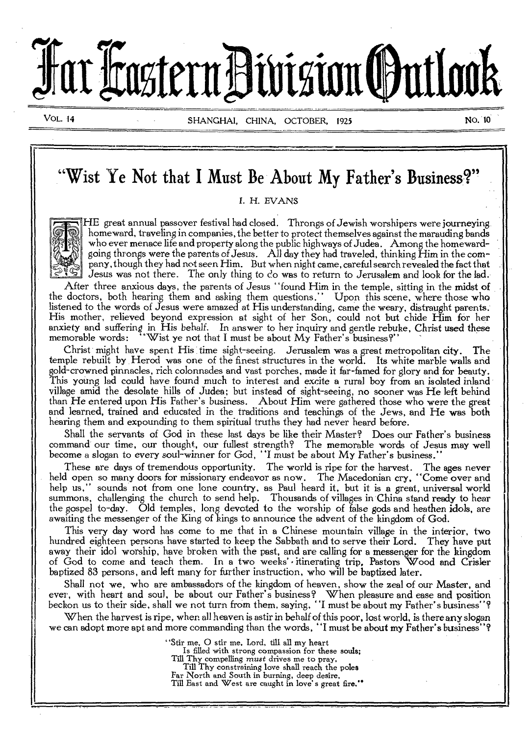# eil **Austern Bivision Ontlook**

VOL. 14 . SHANGHAI, CHINA, OCTOBER, 1925 . No. 10

# **"'fist Ye Not that I Must Be About My Father's Business?"**

I. H. EVANS



HE great annual passover festival had closed. Throngs of Jewish worshipers were journeying. homeward, traveling in companies, the better to protect themselves against the marauding bands who ever menace life and property along the public highways of Judea. Among the homeward-<br>going throngs were the parents of Jesus. All day they had traveled, thinking Him in the company, though they had not seen Him. But when night came, careful search revealed the fact that Jesus was not there. The only thing to do was to return to Jerusalem and look for the lad.

After three anxious days, the parents of Jesus "found Him in the temple, sitting in the midst of the doctors, both hearing them and asking them questions." Upon this scene, where those who listened to the words of Jesus were amazed at His understanding, came the weary, distraught parents. His mother, relieved beyond expression at sight of her Son, could not but chide Him for her anxiety and suffering in His behalf. In answer to her inquiry and gentle rebuke, Christ used these memorable words: ''Wist ye not that I must be about My Father's business?''

Christ might have spent His time sight-seeing. Jerusalem was a great metropolitan city. The temple rebuilt by Herod was one of the finest structures in the world. Its white marble walls and gold-crowned pinnacles, rich colonnades and vast porches, made it far-famed for glory and for beauty. This young lad could have found much to interest and excite a rural boy from an isolated inland village amid the desolate hills of Judea; but instead of sight-seeing, no sooner was He left behind than He entered upon His Father's business. About Him were gathered those who were the great and learned, trained and educated in the traditions and teachings of the Jews, and He was both hearing them and expounding to them spiritual truths they had never heard before.

Shall the servants of God in these last days be like their Master? Does our Father's business command our time, our thought, our fullest strength? The memorable words of Jesus may well become a slogan to every soul-winner for God, "I *must* be about My Father's business."

These are days of tremendous opportunity. The world is ripe for the harvest. The ages never held open so many doors for missionary endeavor as now. The Macedonian cry, "Come over and help us," sounds not from one lone country, as Paul heard it, but it is a great, universal world summons, challenging the church to send help. Thousands of villages in China stand ready to hear the gospel to-day. Old temples, long devoted to the worship of false gods and heathen idols, are awaiting the messenger of the King of kings to announce the advent of the kingdom of God.

This very day word has come to me that in a Chinese mountain village in the interior, two hundred eighteen persons have started to keep the Sabbath and to serve their Lord. They have put away their idol worship, have broken with the past, and are calling for a messenger for the kingdom of God to come and teach them. In a two weeks' , itinerating trip, Pastors Wood and Crisler baptized 83 persons, and left many for further instruction, who will be baptized later.

Shall not we, who are ambassadors of the kingdom of heaven, show the zeal of our Master, and ever, with heart and soul, be about our Father's business? When pleasure and ease and position beckon us to their side, shall we not turn from them, saying, "I must be about my Father's business"?

When the harvest is ripe, when all heaven is astir in behalf of this poor, lost world, is there any slogan we can adopt more apt and more commanding than the words, "I must be about my Father's business"?

"Stir me, 0 stir me, Lord, till all my heart Is filled with strong compassion for these souls;

Till Thy compelling *must* drives me to pray,

Till Thy constraining love shall reach the poles

Far North and South in burning, deep desire,

Till East and West are caught in love's great fire."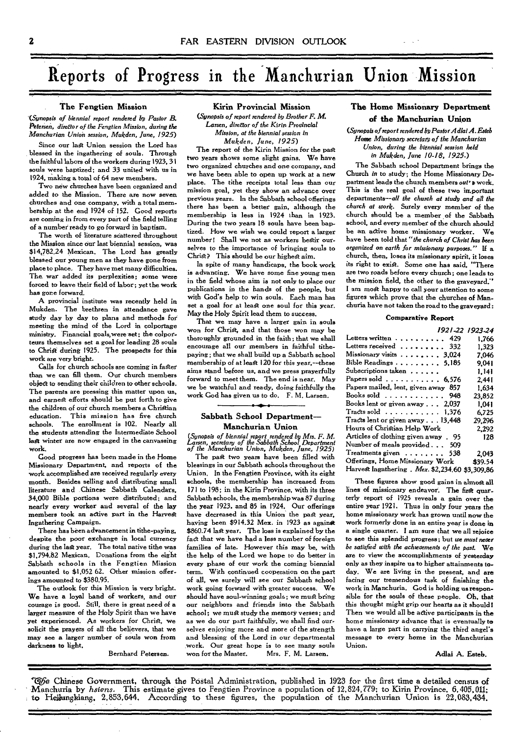# Reports of Progress in the Manchurian Union Mission

#### **The Fengtien Mission**

*(Synopsis of biennial report rendered by Pastor B.*  Petersen, director of the Fengtien Mission, during the *Manchurian Union session, Mukden, June, 1925)* 

Since our last Union session the Lord has blessed in the ingathering of souls. Through the faithful labors of the workers during 1923, 31 souls were baptized; and 33 united with us in 1924, making a total of 64 new members.

Two new churches have been organized and added to the Mission. There are now seven churches and one company, with a total membership at the end 1924 of 152. Good reports are coming in from every part of the field telling of a number ready to go forward in baptism.

The worth of literature scattered throughout the Mission since our last biennial session, was \$14,782.24 Mexican. The Lord has greatly blessed our young men as they have *gone* from place to place. They have met many difficulties. The war added its perplexities; some were forced to leave their field of labor; yet the work has gone forward.

A provincial institute was recently held in Mukden. The brethren in attendance gave study day by day to plans and methods for meeting the mind of the Lord in colportage ministry. Financial goals,were set ; the colporteurs themselves set a goal for leading 28 souls to Christ during 1925. The prospects for this work are very bright.

Calls for church schools are coming in faster than we can fill them. Our church members object to sending their children to other schools. The parents are pressing this matter upon us, and earnest efforts should be put forth to give the children of our church members a Christian education. This mission has five church schools. The enrollment is 102. Nearly all the students attending the Intermediate School last winter are now engaged in the canvassing work.

Good progress has been made in the Home Missionary Department, and reports of the work accomplished are received regularly every month. Besides selling and distributing small literature and Chinese Sabbath Calendars, 34,000 Bible portions were distributed; and nearly every worker and several of the lay members took an active part in the Harvest Ingathering Campaign.

There has been advancement in tithe-paying, despite the poor exchange in local currency during the last year, The total native tithe was \$1,794.82 Mexican. Donations from the eight Sabbath schools in the Fengtien Mission amounted to \$1,052 62. Other mission offerings amounted to \$380.95.

The outlook for this Mission is very bright. We have a loyal band of workers, and our courage is good. Still, there is great need of a larger measure of the Holy Spirit than we have yet experienced. As workers for Christ, we solicit the prayers of all the believers, that we may see a larger number of souls won from darkness to light.

Bernhard Petersen.

#### **Kirin Provincial Mission**

*(Synopsis of report rendered by Brother F. M. Larsen,* dirator of *the Kirin Provincial Mission, at the biennial session in* 

*Mukden, June, 1925)* 

The report of the Kirin Mission for the past two years shows some slight gains. We have two organized churches and one company, and we have been able to open up work at a new place. The tithe receipts total less than our mission goal, yet they show an advance over previous years. In the Sabbath school offerings there has been a better gain, although the membership is less in 1924 than in 1923. During the two years 18 souls have been baptized. How we wish we could report a larger number! Shall we not as workers bestir ourselves to the importance of bringing souls to Christ? This should be our highest aim.

In spite of many handicaps, the book work is advancing. We have some fine young men in the field whose aim is not only to place our publications in the hands of the people, but with God's help to win souls. Each man has set a goal for at least one soul for this year. May the Holy Spirit lead them to success.

That we may have a larger gain in souls won for Christ, and that those won may be thoroughly grounded in the faith ; that we shall encourage all our members in faithful tithepaying; that we shall build up a Sabbath school membership of at least 120 for this year,---these aims stand before us, and we press prayerfully forward to meet them. The end is near. May we be watchful and ready, doing faithfully the work God has given us to do. F. M. Larsen.

#### **Sabbath School Department— Manchurian Union**

*(Synopsis of biennial* report *rendered by Mrs. F. M. Larsen, secretary of the Sabbath School Department of the Manchurian Union, Mukden, June, 1925)* 

The past two years have been filled with blessings in our Sabbath schools throughout the Union. In the Fengtien Province, with its eight schools, the membership has increased from 171 to 198; in the Kirin Province, with its three Sabbath schools, the membership was 87 during the year 1923, and 85 in 1924. Our offerings have decreased in this Union the past year, having been \$914.32 Mex. in 1923 as against \$860.74 last year. The loss is explained by the fact that we have had a less number of foreign families of late. However this may be, with the help of the Lord we hope to do better in every phase of our work the coming biennial term. With continued cooperation on the part of all, we surely will see our Sabbath school work going forward with greater success. We should have soul-winning goals; we must bring our neighbors and friends into the Sabbath school; we must study the memory verses; and as we do our part faithfully, we shall find ourselves enjoying more and more of the strength and blessing of the Lord in our departmental work. Our great hope is to *see* many souls won for the Master.

## **The Home Missionary Department of the Manchurian Union**

*(Synopsis of report rendered by Pastor A dlai A. Esteb Home Missionary secretary of the Manchurian Union, during the biennial session held in Mukden, June 10-18, 1925.)* 

The Sabbath school Department brings the Church *in* to study; the Home Missionary Department leads the church members out'  $\mathfrak{p}$  work. This is the real goal of these two important departments--all *the church at study and all the church at work.* Surely every member of the church should be a member of the Sabbath school, and every member of the church should be an active home missionary worker. We have been told that *"the church of Christ has been organized on earth for missionary purposes."* If a church, then, loses its missionary spirit, it loses<br>its right to exist. Some one has said, "There its right to exist. Some one has said, are two roads before every church; one leads to the mission field, the other to the graveyard." *<sup>I</sup>am* most happy to call your attention to some figures which prove that the churches of Manchuria have not taken the road to the graveyard :

#### Comparative Report

|                                                  | 1921-22 1923-24 |
|--------------------------------------------------|-----------------|
| Letters written 429                              | 1.766           |
| Letters received  332                            | 1,323           |
| Missionary visits 3,024                          | 7.046           |
| Bible Readings 5,185                             | 9.041           |
| Subscriptions taken                              | 1.141           |
| Papers sold $\ldots \ldots \ldots$ 6,576         | 2.441           |
| Papers mailed, lent, given away 857              | 1.634           |
| Books sold $\ldots \ldots \ldots$ 948            | 23,852          |
| Books lent or given away 2,037                   | 1.041           |
| Tracts sold $\ldots \ldots \ldots \ldots 1,376$  | 6.725           |
| Tracts lent or given away 13,448                 | 29,296          |
| Hours of Christian Help Work                     | 2,292           |
| Articles of clothing given away. 95              | 128             |
| Number of meals provided 509                     |                 |
| Treatments given 538                             | 2.043           |
| Offerings, Home Missionary Work                  | \$39.54         |
| Harvest Ingathering . Mex. \$2,234.60 \$3,309.86 |                 |

These figures show good gains in almost all lines of missionary endeavor. The first quarterly report of 1925 reveals a gain over the entire year 1921. Thus in only four years the home missionary work has grown until now the work formerly done in an entire year is done in a single quarter. I am sure that we all rejoice to see this splendid progress; but *we must never be satisfied with the achievements of the past. We*  are to view the accomplishments of yesterday only as they inspire us to higher attainments today. We are living in the present, and are facing our tremendous task of finishing *the*  work in Manchuria. God is holding us responsible for the souls of these people. Oh, *that*  this thought might grip our hearts as it should! Then we would all be active participants in the home missionary advance that is eventually to have a large part in carrying the third angel's message to every home in the Manchurian Union.

Adlai A. Esteb.

`e Chinese Government, through the Postal Administration, published in 1923 for the first time a detailed census of Manchuria by *hsiens.* This estimate gives to Fengtien Province a population of 12,824,779; to Kirin Province, 6,405,011; **to** Heihinghiang, 2,853,644, According to these figures, the population of the Manchurian Union is 22,083,434.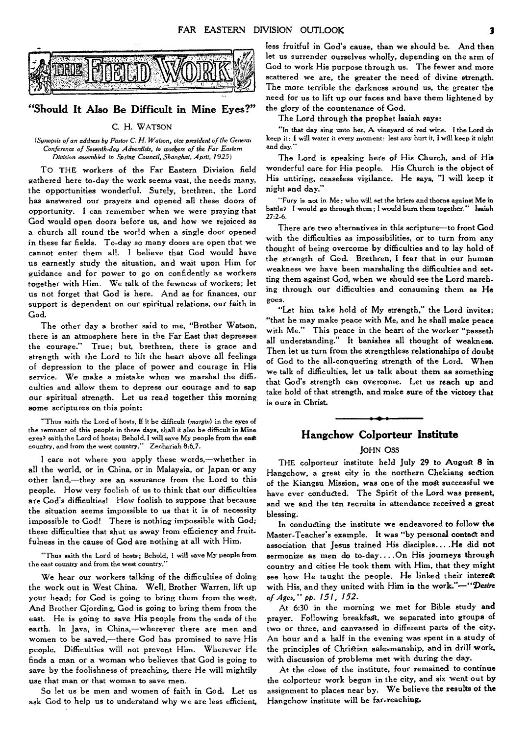

# **`Should It Also Be Difficult in Mine Eyes?'**

## C. H. WATSON

#### *(Synopsis of an address by Pastor C. H. Watson, vice president of the Genera: Conference of Seventh-day Adventists, to workers of the Far Eastern Division assembled in Spring Council, Shanghai, April, 1925)*

TO THE workers of the Far Eastern Division field gathered here to-day the work seems vast, the needs many, the opportunities wonderful. Surely, brethren, the Lord has answered our prayers and opened all these doors of opportunity. I can remember when we were praying that God would open doors before us, and how we rejoiced as a church all round the world when a single door opened in these far fields. To-day so many doors are open that we cannot enter them all. I believe that God would have us earnestly study the situation, and wait upon Him for guidance and for power to go on confidently as workers together with Him. We talk of the fewness of workers; let us not forget that God is here. And as for finances, our support is dependent on our spiritual relations, our faith in God.

The other day a brother said to me, "Brother Watson, there is an atmosphere here in the Far East that depresses the courage." True; but, brethren, there is grace and strength with the Lord to lift the heart above all feelings of depression to the place of power and courage in His *service.* We make a mistake when we marshal the difficulties and allow them to depress our courage and to sap our spiritual strength. Let us read together this morning some scriptures on this point:

"Thus saith the Lord of hosts, If it be difficult *(margin)* in the eyes of the remnant of this people in these days, shall it also be difficult in Mine eyes? saith the Lord of hosts; Behold, I will save My people from the east country, and from the west country." Zechariah 8:6,7.

I care not where you apply these words,—whether in all the world, or in China, or in Malaysia, or Japan or any other land,—they are an assurance from the Lord to this people. How very foolish of us to think that our difficulties are God's difficulties! How foolish to suppose that because the situation seems impossible to us that it is of necessity impossible to God! There is nothing impossible with God; these difficulties that shut us away from efficiency and fruit. fulness in the cause of God are nothing at all with Him.

"Thus saith the Lord of hosts; Behold, I will save My people from the east country and from the west country.

We hear our workers talking of the difficulties of doing the work out in West China. Well, Brother Warren, lift up your head; for God is going to bring them from the west. And Brother Gjording, God is going to bring them from the east. He is going to save His people from the ends of the earth. In Java, in China,—wherever there are men and women to be saved,—there God has promised to save His people. Difficulties will not prevent Him. Wherever He finds a man or a woman who believes that God is going to save by the foolishness of preaching, there He will mightily use that man or that woman to save men.

So let us be men and women of faith in God. Let us ask God to help us to understand why we are less efficient,

less fruitful in God's cause, than we should be. And then let us surrender ourselves wholly, depending on the arm of God to work His purpose through us. The fewer and more scattered we are, the greater the need of divine strength. The more terrible the darkness around us, the greater the need for us to lift up our faces and have them lightened by the glory of the countenance of God.

The Lord through the prophet Isaiah says:

"In that day sing unto her, A vineyard of red wine. I the Lord do keep it, I will water it every moment: lest any hurt it, I will keep it night and day."

The Lord is speaking here of His Church, and of His wonderful care for His people. His Church is the object of His untiring, ceaseless vigilance. He says, "I will keep it night and day."

"Fury is not in Me; who will set the briers and thorns against *Mein battle?* I would go through them; I would burn them together." Isaiah  $27:2.6.$ 

There are two alternatives in this scripture—to front God with the difficulties as impossibilities, or to turn from any thought of being overcome by difficulties and to lay hold of the strength of God. Brethren, I fear that in our human weakness we have been marshaling the difficulties and setting them against God, when we should see the Lord march. ing through our difficulties and consuming them as He goes.

"Let him take hold of My strength," the Lord invites; "that he may make peace with Me, and he shall make peace with Me." This peace *in the* heart of the worker "passeth all understanding." It banishes all thought of weakness. Then let us turn from the strengthless relationships of doubt of God to the all-conquering strength of the Lord. When we talk of difficulties, let us talk about them as something that God's strength can overcome. Let us reach up and take hold of that strength, and make sure of the victory that is ours in Christ.

# **Hangchow Colporteur Institute**

# **JOHN** OSS

THE colporteur institute held July 29 to August 8 in Hangchow, a great city in the northern Chekiang section of the Kiangsu Mission, was one of the most successful we have ever conducted. The Spirit of the Lord was present, and we and the ten recruits in attendance received a great blessing.

In conducting the institute we endeavored to follow the Master-Teacher's example. It was "by personal contact and association that Jesus trained His disciples....He did not sermonize as men do to-day....On His journeys through country and cities He took them with Him, that they might see how He taught the people. He linked their interest with His, and they united with Him in the work."-"Desire *of Ages,"* pp. 151, *152.* 

At 6:30 in the morning we met for Bible study and prayer. Following breakfast, we separated into groups of two or three, and canvassed in different parts of the city. An hour and a half in the evening was spent in a study of the principles of Christian salesmanship, and in drill work, with discussion of problems met with during the day.

At the close of the institute, four remained to continue the colporteur work begun in the city, and six went out by assignment to places near by. We believe the results of the Hangchow institute will be far-reaching.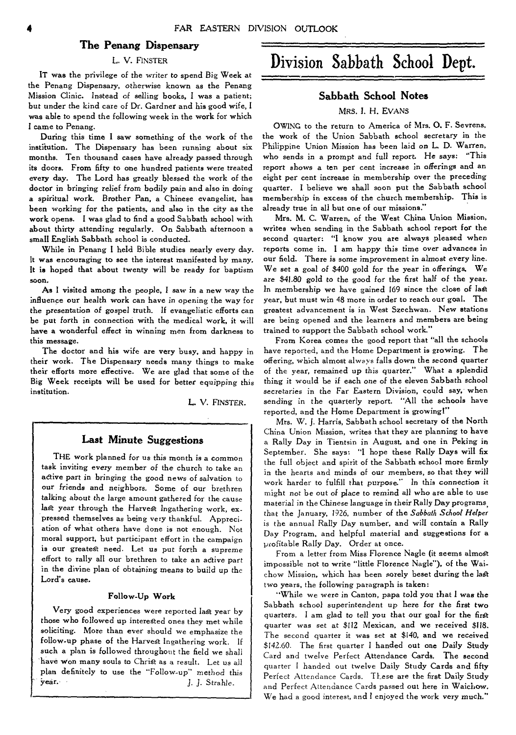# **The Penang Dispensary**

# L. V. FINSTER

**IT** was the privilege of the writer to spend Big Week at the Penang Dispensary, otherwise known as the Penang *Mission* Clinic. Instead *of* selling books, I was a patient; but under the kind care of Dr. Gardner and his good wife, I was able to spend the following week in the work for which **I** came to Penang.

**During** this time **I** saw something of the work of the institution. The Dispensary has been running about six months. Ten thousand cases have already passed through its doors. From fifty to one hundred patients were treated every day. The Lord has greatly blessed the work of the doctor in bringing relief from bodily pain and also in doing a *spiritual* work. Brother Pan, a Chinese evangelist, has been working for the patients, and also in the city as the work opens. I was glad to find a good Sabbath school with about thirty attending regularly. On Sabbath afternoon a small English Sabbath school is conducted.

While in Penang I held Bible studies nearly every day. It was encouraging to see the interest manifested by many. **It** is hoped that about twenty will be ready for baptism soon.

As **I** visited among the people, **I** saw *in* a *new* way the influence our health work can have in opening the way for the presentation of gospel truth. If evangelistic efforts can be put forth in connection with the medical work, it will have a wonderful effect in winning men from darkness to this message.

The doctor and his wife are very busy, and happy in their work. The Dispensary needs many things to make their efforts more effective. We are glad that some of the Big Week receipts will be used for better equipping this institution.

**L.. V.** FINSTER.

# **Last Minute Suggestions**

THE work planned for us this month is a common task inviting every member of the church to take an active part in *bringing* the good news of salvation to our friends and neighbors. Some of our brethren talking about the large amount gathered for the cause last year through the Harvest Ingathering work, expressed themselves as being very thankful. Appreciation of what others have done is not enough. Not moral support, but participant effort in the campaign is our greatest need. Let us put forth a supreme effort to rally all our brethren to take an *active* part in the divine plan of obtaining means to build up the Lord's cause.

## **Follow-Up Work**

**Very** good experiences were reported last year by those who followed up interested ones they met while soliciting. More than ever should we **emphasize** the follow-up phase of the Harvest Ingathering work. If such a plan is followed throughout the field we shall have won many souls to Christ as a result. Let us all plan definitely to use the "Follow-up" method **this**  J. J. Strahle.

# Division Sabbath School Dept.

# **Sabbath School Notes**

# MRS. **I. H.** EVANS

OWING to the return to America of Mrs. **0.** F. Sevrens, the work of the Union Sabbath school secretary in the Philippine Union Mission has *been* laid on **L. D.** Warren, who sends in a prompt and full report. He says: "This report shows a ten per cent increase in offerings and an eight *per* cent increase in membership over the preceding quarter. **I believe** we shall soon put the Sabbath school membership in excess of the church membership. This is already true in all but one of our missions."

Mrs. M. C. Warren, of the West China Union Mission, writes when sending in the Sabbath school report for the second quarter: **"I** know you are always pleased when reports come in. **I** am happy this time over advances in our field. There is some improvement in almost every line. We set a goal of \$400 gold for the year in offerings. We are \$41.80 gold to the good for the first half of the year. In membership we have gained 169 since the close of last year, but must win 48 more in order to reach our goal. The greatest advancement is in West Szechwan. New stations are being opened and the learners and members are being trained to support the Sabbath school work."

From Korea comes the good report that "all the schools have reported, and the Home Department is growing. The offering, which almost always falls down the second quarter of the year, remained up this quarter." What a splendid thing it would be *if* each one of the eleven Sabbath school *secretaries* in the Far Eastern Division, could say, when sending in the quarterly report. "All the schools have reported, and the Home Department is growing!"

Mrs. W. j. Harris, Sabbath school secretary **of the** North China Union Mission, writes that they are planning to have a Rally Day in Tientsin in August, and one in Peking in September. She says: "I hope these Rally Days will fix the full object and spirit of the Sabbath school more firmly in the hearts and minds of our members, so that they will work harder to fulfill that purpose." In this connection it might not be out of place to *remind* all who are able to use material in the Chinese language in their Rally Day programs, that the January, 1926, number of the *Sabbath School Helper is* the annual Rally Day number, and will contain a Rally Day Program, and helpful material and suggestions for a profitable Rally Day. Order at once.

From a letter from Miss Florence Nagle (it seems almost impossible not to write "little Florence Nagle"), of the Waichow Mission, which has been sorely beset during the last two years, the following paragraph is taken:

"While we were in Canton, papa told you that **I** was the Sabbath school superintendent up here for **the first two quarters. I** am glad to tell you that our goal for the first quarter was set at \$112 Mexican, and we received \$118. The second quarter it was set at \$140, and we received *\$142.60.* The first quarter I handed out one Daily Study Card and twelve Perfect Attendance Cards. The second quarter I handed out twelve Daily Study Cards and fifty Perfect Attendance Cards. These are the first Daily Study and Perfect Attendance Cards passed out here in Waichow. We had a good interest, and I enjoyed the work very much."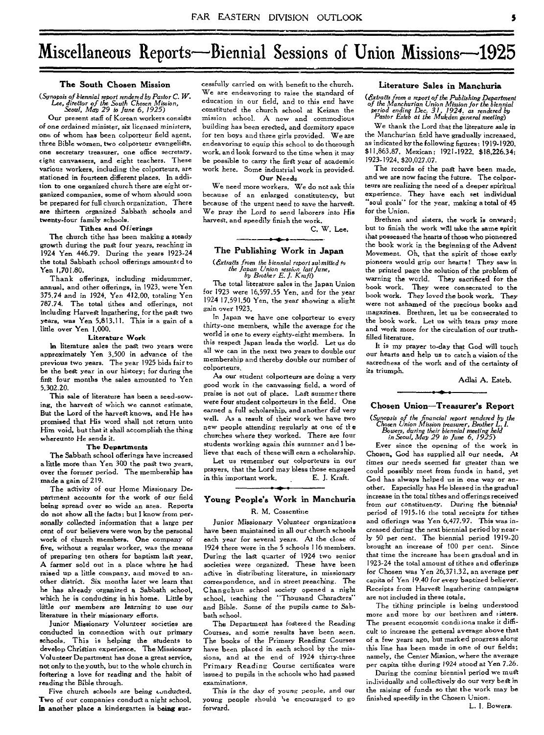# Miscellaneous Reports—Biennial Sessions of Union Missions—1925

#### **The South Chosen Mission**

# *(Synopsis of biennial report rendered by Pastor C. W. Lee, director of the South Chosen Mission, Seoul, May 29 to June 6, 1925)*

Our present staff of Korean workers consists of *one* ordained *minister, six* licensed *ministers, one* of whom has been colporteur field agent, three Bible women, two colporteur evangelists, one secretary treasurer, one office secretary, right canvassers, and eight teachers. These various workers, including the colporteurs, are stationed in fourteen different places. In addition to one organized church there are eight organized companies, some of whom should soon be prepared for full church organization. There are *thirteen organized* Sabbath schools and twenty-four family schools.

#### Tithes and Offerings

The church tithe has been making a steady growth during the past four years, reaching in 1924 Yen 446.79. During the years 1923-24 the total Sabbath school offerings amounted to Yen 1,701.80.

Thank offerings, including midsummer, annual, and other offerings, in 1923, were Yen 375.74 and in 1924, Yen 412.00. totaling Yen 787.74. The total tithes and offerings, not including Harvest Ingathering, for the past two years, was Yen 5,813.11. This is a gain of a little over Yen 1,000.

#### Literature Work

In literature sales the past two years were approximately Yen 3,500 in advance of the previous two years. The year 1925 bids fair to be the beat year in our history; for during the first four months the sales amounted to Yen 5.302.20.

This sale of literature has been a seed-sowing, the harvest of which we cannot estimate. But the Lord of the harvest knows, and He has promised that His word shall not return unto Him void, but that it shall accomplish the thing whereunto He sends it.

#### The Departments

The Sabbath school offerings have increased a little more than Yen 300 the past two years, over the former period. The membership has made a gain of 219.

The activity of our Home Missionary Department accounts for the work of our field being spread over so wide an area. Reports do not show all the facts; but I know from personally collected *information* that a large per cent of our believers were won by the personal work of church members. One company of five, without a regular worker, was the means of preparing ten others for baptism last year. A farmer sold out in a place where he had raised up a little company, and moved to another district. Six months later we learn that he has already organized a Sabbath school, which he is conducting in his home. Little by little our members are *learning to use our*  literature in their missionary efforts.

Junior Missionary Volunteer societies are conducted in connection with our primary schools. This is helping the students to develop Christian experience. The Missionary Volunteer Department has done a great service, not only to the youth, but to the whole church in fostering a love for reading and the habit of reading the Bible through.

Five church schools are being conducted. Two of our companies conduct a night school. **In another place a** kindergarten is **being suc-** cessfully carried on with benefit to the church. We are endeavoring to raise the standard of education in our field, and to this end have constituted the church school at Keizan the mission school. A new and commodious building has been erected, and dormitory space for ten boys and three girls provided. We are endeavoring to equip this school to do thorough work, and look forward to the time when it may be possible to carry the first year of academic work here. Some industrial work in provided.

#### **Our** Needs

We need more workers. We do not ask this because of an enlarged constitutency, but because of the urgent need to save the harvest. We *pray* the Lord to *send* laborers into His harvest, and speedily finish the work.

C. W. Lee.

## **The Publishing Work in Japan**

# *(6xtratts from the biennial report sal milted to the Japan Union session last June, by Brother E. J. Kraft)*

The total literature sales in the Japan Union for 1923 were 16,597.55 Yen, and for the year 1924 17,591.50 Yen, the year showing a slight gain over 1923.

In Japan we have one colporteur to every thirty-one members, while the average for the world is one to every eighty-eight members. In this respect Japan leads the world. Let us do all we can in the next two years to double our membership and thereby double our number of colporteurs.

As our student colporteurs are doing a very good work in the canvassing field, a word of praise is not out of place. Last summer there were four student colporteurs in the field. One earned a full scholarship, and another did very well. As a result of their work we have two new people attending regularly at one of tf e churches where they worked. There are four students working again this summer and **I** believe that each of these will earn a scholarship.

Let us remember our colporteurs in our prayers, that the Lord may bless those engaged in this important work. E. J. Kraft.

## **Young People's Work in Manchuria**

# R. M. Cossentine

*Junior* Missionary Volunteer organizations have been maintained in all our church schools each year for several years. At the close of 1924 there were in the 5 schools 116 members. During the last quarter of 1924 two senior societies were organized. These have been active in distributing literature, in missionary correspondence, and in street preaching. The Changchun school society opened a night school, teaching the "Thousand Characters" *and* Bible. Some *of* the pupils came to Sabbath school.

The Department has fostered the Reading Courses, and some results have been seen. The books of the Primary Reading Courses have been placed in each school by the missions, and at the end of 1924 thirty-three Primary Reading Course certificates were issued to pupils in the schools who had passed examinations.

This *is* the day of young people, and our young people should 'se encouraged to go forward.

## **Literature Sales in Manchuria**

*(extra:is from a report of the Publishing Department of the Manchurian Union Mission for the biennial period ending Dec. 3l, 1924. as rendered by Pastor Esteb at the Mukden general meeting)* 

We thank the Lord that the literature *sale* in the Manchurian field have gradually increased, as indicated by the following figures: 1919-1920, \$11,863.87, Mexican; 1921-1922, \$18,226.34; 1923-1924,\$20,027.07.

The records of the past have been made, and we are now facing the future. The colporteurs are realizing the need of a deeper spiritual experience. They have each set individual "soul goals" for the year, making a total of 45 for the Union.

Brethren and sisters, the work is onward; but to finish the work will take the same spirit that possessed the hearts of those who pioneered the book work in the beginning of the Advent Movement. Oh, that the spirit of those early pioneers would grip our hearts! They saw in the printed page the solution of the problem of warning the world. They sacrificed for the book work. They were consecrated to the book work. They loved the book work. They were not ashamed of the precious books and magazines. Brethren, let us be consecrated to the book work. Let us with tears pray more and work more for the circulation of **our** truthfilled literature.

It is my prayer to-day that God will touch our hearts and help us to catch a vision of the sacredness of the work and of the certainty of its triumph.

#### Adlai A. Esteb.

#### **Chosen Union—Treasurer's Report**

*(Synopsis of the financial report rendered by the Chosen Union Mission treasurer, Brother L. 1. Bowers, during their biennial meeting held in Seoul, May 29 to June 6, /925)* 

Ever since the opening of the work in Chosen, God has supplied all our needs. At times our needs seemed far greater than we could possibly meet from funds in hand, yet God has always helped us in one way or another. Especially has He blessed in the gradual increase in the total tithes and offerings received from our constituency. During the biennial period of 1915-16 the total receipts for tithes and offerings was Yen 6,477.97. This was increased during the next biennial *period* by nearly 50 per cent. The biennial period 1919-20 brought an increase of 100 per cent. Since that time the increase has been gradual and in 1923-24 the total amount of tithes and offerings for Chosen was Yen 26,371.32, an average per capita of Yen 19.40 for every baptized believer. Receipts from Harvest Ingathering campaigns are not included in these totals.

The tithing principle is being understood more and more by our brethren and sisters. The present economic conditions make it difficult to increase the general average above that of a few years ago, but marked progress along this line has been made in one of our fields; namely, the Center Mission, where the average per capita tithe during 1924 stood at Yen 7.26.

During the coming biennial period we must individually and collectively do our very best in the raising of funds so that the work may **be**  finished speedily in the Chosen Union.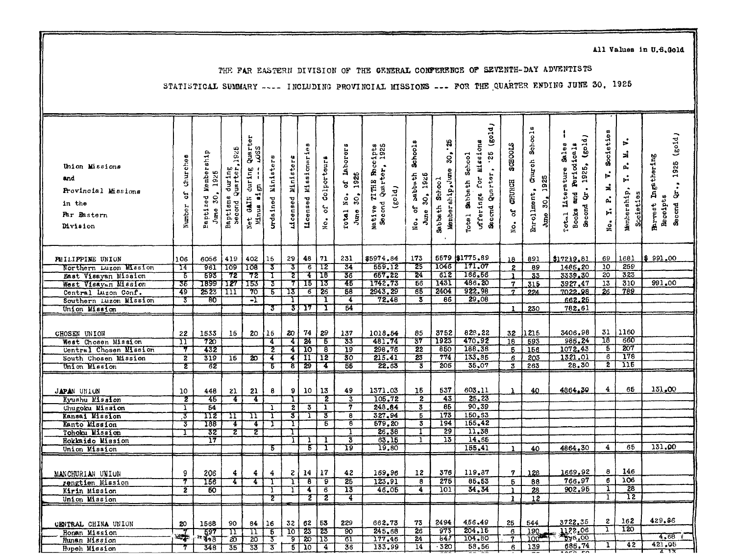# THE FAR EASTERN DIVISION OF THE GENERAL CONFERENCE OF SEVENTH-DAY ADVENTISTS

# STATISTICAL SUMMARY ---- INCLUDING PROVINCIAL MISSIONS --- FOR THE QUARTER ENDING JUNE 30, 1925

|                                                |                     |                         |                                   |                 |                    |                                      |                               |                      |                                    |                                               |                          |                                   |                                                                              |                         |                                             |                                                                                                 |                               |                  | All Values in U.S.Gold |
|------------------------------------------------|---------------------|-------------------------|-----------------------------------|-----------------|--------------------|--------------------------------------|-------------------------------|----------------------|------------------------------------|-----------------------------------------------|--------------------------|-----------------------------------|------------------------------------------------------------------------------|-------------------------|---------------------------------------------|-------------------------------------------------------------------------------------------------|-------------------------------|------------------|------------------------|
|                                                |                     |                         |                                   |                 |                    |                                      |                               |                      |                                    |                                               |                          |                                   |                                                                              |                         |                                             |                                                                                                 |                               |                  |                        |
|                                                |                     |                         |                                   |                 |                    |                                      |                               |                      |                                    |                                               |                          |                                   | THE FAR EASTERN DIVISION OF THE GENERAL CONFERENCE OF SEVENTH-DAY ADVENTISTS |                         |                                             |                                                                                                 |                               |                  |                        |
|                                                |                     |                         |                                   |                 |                    |                                      |                               |                      |                                    |                                               |                          |                                   |                                                                              |                         |                                             | STATISTICAL SUMMARY ---- INCLUDING PROVINCIAL MISSIONS --- FOR THE QUARTER ENDING JUNE 30, 1925 |                               |                  |                        |
|                                                |                     |                         |                                   |                 |                    |                                      |                               |                      |                                    |                                               |                          |                                   |                                                                              |                         |                                             |                                                                                                 |                               |                  |                        |
|                                                |                     |                         |                                   |                 |                    |                                      |                               |                      |                                    |                                               |                          |                                   |                                                                              |                         |                                             |                                                                                                 |                               |                  |                        |
| (1601d)                                        |                     |                         |                                   |                 |                    |                                      |                               |                      |                                    |                                               |                          |                                   |                                                                              |                         |                                             |                                                                                                 |                               |                  |                        |
|                                                |                     |                         |                                   |                 |                    |                                      |                               |                      |                                    |                                               |                          |                                   |                                                                              |                         |                                             |                                                                                                 |                               |                  |                        |
|                                                |                     | بم                      |                                   | Quarter<br>1033 |                    |                                      |                               |                      |                                    |                                               | Schools                  | 30, 25                            |                                                                              |                         |                                             | (201d)<br>Sales                                                                                 | Societies                     | ÷.               | 1925 (gold)            |
| Union Missions                                 | Churches            |                         | 1925                              |                 |                    |                                      |                               |                      |                                    |                                               |                          |                                   | .25                                                                          | <b>SCHOOLS</b>          |                                             |                                                                                                 |                               | ă,<br>å.         |                        |
| and                                            |                     |                         |                                   | J,              |                    |                                      |                               |                      |                                    |                                               |                          |                                   |                                                                              |                         |                                             | 1925,                                                                                           | $\mathbf{r}^{\prime}$         |                  |                        |
| Provincial Missions                            |                     | Membershi<br>1925       | Baptisms during<br>second Quarter | Net GAIN during | urdained Ministers | Licensed Ministers                   | Licensed Missionaries         | of Colporteurs       | Total No. of Laborers<br>1925      | Native TITHE Reccipts<br>Second Quarter, 1925 | sabbath<br>June 30, 1925 | Membership,June<br>Sabbath School | ufferings for Missions<br>Totel Sabbath School<br>Secend Quarter,            | No. of CHURCH           | Enrollment, Church Schools<br>June 30, 1925 | and Periodicals<br>Total Literature                                                             | zi                            | Ê,               | Barvest Ingathering    |
|                                                | 9                   | $\ddot{\circ}$          |                                   | Minus sign      |                    |                                      |                               |                      | $\tilde{c}$                        | (601d)                                        |                          |                                   |                                                                              |                         |                                             | Second Qr.                                                                                      | p.                            | Membership,      | ð                      |
| in the<br>Par Bastern                          |                     |                         |                                   |                 |                    |                                      |                               |                      |                                    |                                               | <b>a</b>                 |                                   |                                                                              |                         |                                             |                                                                                                 | ř.                            | Societie         | Receipts               |
| Division                                       | Number              | <b>Baptized</b><br>June |                                   |                 |                    |                                      |                               | No.                  | June                               |                                               | $\dot{\mathbf{z}}$       |                                   |                                                                              |                         |                                             | Books                                                                                           | å.                            |                  | Second                 |
|                                                |                     |                         |                                   |                 |                    |                                      |                               |                      |                                    |                                               |                          |                                   |                                                                              |                         |                                             |                                                                                                 |                               |                  |                        |
|                                                |                     |                         |                                   |                 |                    |                                      |                               |                      |                                    |                                               |                          |                                   |                                                                              |                         |                                             |                                                                                                 |                               |                  |                        |
| PHILIPPINE UNION                               | 106                 | 6056                    | 419                               | 402             | 15                 | 29                                   | 48                            | 71                   | 231                                | \$5974.84                                     | 173                      |                                   | 5579 \$1775.89                                                               | 18                      | 891                                         | \$17219.81                                                                                      | 69.                           | 1681             | \$991.00               |
| Northern Luzon Mission                         | 14<br>75            | 961<br>593              | 109<br>72                         | 108<br>72       | ड<br>т             | $\overline{\mathfrak{s}}$<br>ट       | $\overline{\epsilon}$<br>Ŧ    | 72<br>ΊB             | $\overline{34}$<br>$\overline{36}$ | 559.12<br>657.22                              | -25<br>24                | 612                               | 1046   171,07<br>166.56                                                      | $\mathbf{2}$<br>1       | 89<br>33                                    | 1485.20<br>3339.30                                                                              | 10<br>20                      | 259<br>323       |                        |
| East Visayan Mission<br>West Visayan Mission   | 35                  | 1899                    | זצד                               | 153             | τ                  | $\boldsymbol{\tau}$                  | 15 1                          | ∏3                   | 45                                 | 1742.73                                       | 56                       | 1431                              | 486.20                                                                       | 7                       | 315                                         | 3927.47                                                                                         | 13                            | 310              | 991.00                 |
| Central Luzon Conf.                            | 49<br>उ             | 2523<br>छ               | тп                                | 70<br>-1        | ड                  | 13<br>I                              | $\epsilon$                    | $\overline{26}$<br>т | 68<br>Ŧ                            | 2943, 29<br>72.48                             | 65<br>ड                  | 2404<br>$\overline{86}$           | 922.98<br>29,08                                                              | $\overline{\mathbf{z}}$ | 224                                         | 7022.98<br>662.25                                                                               | 26.                           | 789              |                        |
| Southern Luzon Mission<br>Union Mission        |                     |                         |                                   |                 | उ                  | 3                                    | דר                            | т                    | 64                                 |                                               |                          |                                   |                                                                              | $\mathbf{1}$            | 230                                         | 782.61                                                                                          |                               |                  |                        |
|                                                |                     |                         |                                   |                 |                    |                                      |                               |                      |                                    |                                               |                          |                                   |                                                                              |                         |                                             |                                                                                                 |                               |                  |                        |
| CHOSEN UNION                                   | 22                  | 1633                    | 16                                | 20              | 16                 | 20                                   | 74                            | 29                   | 137                                | 1018.54                                       | 85                       | 3752                              | 828,22                                                                       | 32                      | 11 21 5                                     | 3406.98                                                                                         | 31                            | 1160             |                        |
| West Chosen Mission                            | ת                   | 720                     |                                   |                 | Ţ                  | Ŧ                                    | 24                            | ᠊ᡒ                   | 33                                 | 481.74                                        | 37                       | 1923                              | 470.92<br>188.38                                                             | 18                      | 593                                         | 986.24                                                                                          | 75<br>$5^{\circ}$             | 660<br>207       |                        |
| Central Chosen Mission<br>South Chosen Mission | 7<br>$\overline{2}$ | 432<br>319              | $\overline{15}$                   | ফ               | Σ<br>Ţ             | Ŧ<br>Ŧ                               | ᠋ᡉ<br>$\overline{\mathbf{u}}$ | ह<br>$\overline{12}$ | $\overline{19}$<br>30              | 298.76<br>215.41                              | $\overline{22}$<br>23    | 850<br>774                        | 133.85                                                                       | 5<br>6                  | 156<br>203                                  | 1072.43<br>1321.01                                                                              | 6                             | 178              |                        |
| Union Mission                                  | ट                   | 62                      |                                   |                 | т                  | $\overline{\boldsymbol{\mathsf{g}}}$ | 29                            | Ţ                    | 55                                 | 22.63                                         | ड                        | 206                               | 35,07                                                                        | 3                       | 263                                         | 28.30                                                                                           | $\overline{2}$ $\overline{1}$ | $\overline{115}$ |                        |
|                                                |                     |                         |                                   |                 |                    |                                      |                               |                      |                                    |                                               |                          |                                   |                                                                              |                         |                                             |                                                                                                 |                               |                  |                        |
| JAPAN UNION                                    | 10                  | 448                     | 21                                | 21              | 8                  | 9                                    | 10                            | 13                   | 49                                 | 1371.03                                       | 16                       | 537                               | 603.11                                                                       |                         | 40                                          | 4864.30                                                                                         | 4                             | 65               | 131.00                 |
| Kyushu Mission<br>Chugoku Mission              | 2<br>т              | -45<br>54               | Ŧ                                 | Ţ               | T                  | т<br>2                               | $\overline{\mathbf{3}}$       | 72<br>T              | $\overline{\mathbf{3}}$<br>7       | 105.72<br>248,84                              | $\overline{z}$<br>8.     | 43<br>85                          | 25.23<br>90.39                                                               |                         |                                             |                                                                                                 |                               |                  |                        |
| Kansai Mission                                 | 3                   | 112                     | π                                 | π               | т                  | 3                                    | ı                             | उ                    | $\overline{\mathbf{e}}$            | 327.94                                        | $\overline{5}$           | 173                               | 150.53                                                                       |                         |                                             |                                                                                                 |                               |                  |                        |
| Kanto Mission<br>Tohoku Mission                | 3<br>т              | 188<br>32               | $\overline{4}$<br>τ               | 4<br>τ          | T                  | т<br>т                               |                               | $\overline{5}$       | ह<br>ī                             | 579.20<br>26.38                               | 3.<br>T                  | 194<br>29                         | 155.42<br>11,38                                                              |                         |                                             |                                                                                                 |                               |                  |                        |
| Hokkaido Mission                               |                     | 17                      |                                   |                 |                    | т                                    | 1                             | т                    | 3                                  | 63.15                                         | 1.                       | 13                                | 14,55                                                                        |                         |                                             |                                                                                                 |                               |                  |                        |
| Union Mission                                  |                     |                         |                                   |                 | 75                 |                                      | τ                             | т                    | 19                                 | 19,80                                         |                          |                                   | 155,41                                                                       | $\mathbf{1}$            | 40                                          | 4864.30                                                                                         | 4                             | 65               | 131.00                 |
|                                                |                     |                         |                                   |                 |                    |                                      |                               |                      |                                    |                                               |                          |                                   |                                                                              |                         |                                             |                                                                                                 |                               |                  |                        |
| MANCHURIAN UNIUN                               | 9<br>7              | 206<br>156              | 4<br>Ţ                            | 4<br>T          | 4<br>т             | S<br>т                               | 14<br>ह                       | 17<br>៑ទ             | 42<br>$\overline{25}$              | 169,96<br>123.91                              | 12<br>$\overline{8}$     | 376<br>275                        | 119.87<br>85.53                                                              | 7<br>5                  | 128<br>88                                   | 1669.92<br>766.97                                                                               | 8<br>6                        | 146<br>106       |                        |
| rengtien Mission<br>Kirin Mission              | $\overline{2}$      | 50                      |                                   |                 | т                  | Υ                                    | 4                             | $\overline{6}$       | 13                                 | 46.06                                         | 4                        | 101                               | 34, 34                                                                       | $\mathbf{1}$            | 28                                          | 902.95                                                                                          | т                             | 28               |                        |
| Union Mission                                  |                     |                         |                                   |                 | τ                  |                                      | T                             | 7                    | Ŧ                                  |                                               |                          |                                   |                                                                              | $\mathbf{1}$            | 12                                          |                                                                                                 | $\mathbf{1}$                  | $\overline{12}$  |                        |
|                                                |                     |                         |                                   |                 |                    |                                      |                               |                      |                                    |                                               |                          |                                   |                                                                              |                         |                                             |                                                                                                 |                               |                  |                        |
| CENTRAL CHINA UNION                            | 20                  | 1568                    | 90                                | 84              | 16                 | 32                                   | 62                            | 53                   | 229                                | 662.73                                        | 73                       | 2494                              | 4,56,49                                                                      | 25                      | 544                                         | 3722.35                                                                                         | $\mathbf{z}$<br>ı.            | 162<br>120       | 429.86                 |
| Honan Mission<br>Hunan Mission                 | ر<br>پېښې           | $\frac{597}{1498}$      | π<br>æσ                           | π<br>20         | ᠊ᡏ<br>3            | ᠊᠋ᡉ<br>इ                             | 23<br>బా                      | 73<br>[13            | $\overline{90}$<br>$\overline{61}$ | 245.68<br>177,46                              | $\overline{26}$<br>24    | 973<br>रुद्र र                    | 204.16<br>104.80                                                             | 6<br>$\overline{\tau}$  | 190<br>100                                  | 1158.00                                                                                         |                               |                  | $4.68*$                |
| Hupeh Mission                                  | 7                   | $\overline{348}$        | $\overline{35}$                   | $\overline{33}$ | 3                  | 5                                    | $\overline{10}$               | 4                    | 36                                 | 133.99                                        | 14                       | 320                               | 58,56                                                                        | 6                       | 139                                         | 686.74                                                                                          | T                             | 42               | 421.05<br>7.77         |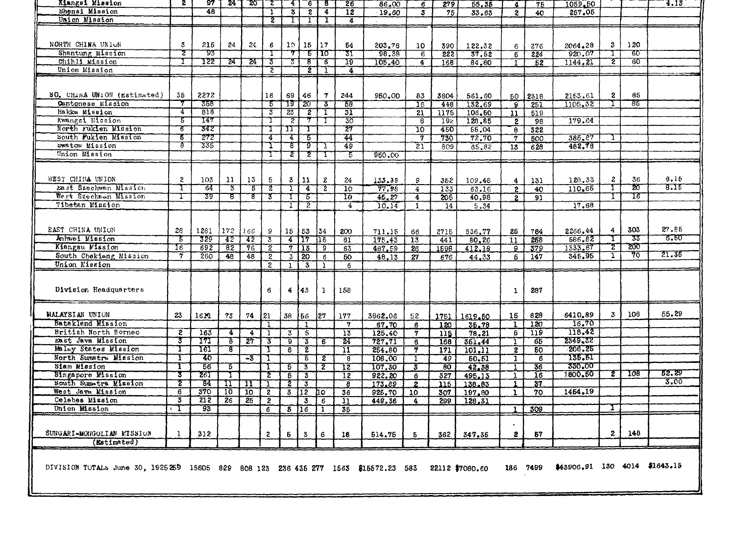| Kiangsi Mission                                                                    | $\mathbf{z}$   |                 |                 | $97 - 24 - 20$  | $-5$                    | 41                      |                                      | $6 \mid 8$       | 26              |                  |                         |                 |                 |                   |          |                               |                 |      | 4.13  |
|------------------------------------------------------------------------------------|----------------|-----------------|-----------------|-----------------|-------------------------|-------------------------|--------------------------------------|------------------|-----------------|------------------|-------------------------|-----------------|-----------------|-------------------|----------|-------------------------------|-----------------|------|-------|
| Shensi Mission                                                                     |                | 48              |                 |                 |                         | $\overline{\mathbf{s}}$ | $\overline{\mathbf{z}}$              | 4                | 12              | 86,00            | 6                       | 279             | 55.35           | 4                 | 75       | 1059.50                       |                 |      |       |
| Union Mission                                                                      |                |                 |                 |                 | 7                       | П                       | TΤ                                   | т                |                 | 19.60            | 3                       | 75              | 33.63           | $\mathbf{2}$      | 40       | 257.05                        |                 |      |       |
|                                                                                    |                |                 |                 |                 |                         |                         |                                      |                  | $\overline{4}$  |                  |                         |                 |                 |                   |          |                               |                 |      |       |
|                                                                                    |                |                 |                 |                 |                         |                         |                                      |                  |                 |                  |                         |                 |                 |                   |          |                               |                 |      |       |
| NORTH CHINA UNION                                                                  | 3              | 215             | 24              | 24              | 6                       | 10                      | 15                                   | 17               |                 |                  |                         |                 |                 |                   |          |                               | $\mathbf{3}$    | 120  |       |
| Shantung Mission                                                                   | ᡓ              | তঃ              |                 |                 |                         |                         | ᠊ᡖ᠊                                  | Πō               | 54              | 203.78           | 10                      | 390             | 122.32          | 6                 | 276      | 2064.28                       |                 | - 60 |       |
|                                                                                    | т              | 122             |                 |                 |                         |                         |                                      |                  | 31              | 98.38            | 6                       | 222             | 37.52           | б                 | 224      | 920.07                        | т               | 60   |       |
| Chihli Mission                                                                     |                |                 | $\overline{24}$ | -24             | 73                      | ड                       | ह                                    | 76               | 19              | 105.40           | $\overline{4}$          | 168             | 84.80           | ı.                | 52       | 1144.21                       | 2               |      |       |
| Union Mission                                                                      |                |                 |                 |                 | τ                       |                         | $\overline{\mathbf{z}}$              | т                | $\overline{4}$  |                  |                         |                 |                 |                   |          |                               |                 |      |       |
|                                                                                    |                |                 |                 |                 |                         |                         |                                      |                  |                 |                  |                         |                 |                 |                   |          |                               |                 |      |       |
|                                                                                    |                |                 |                 |                 |                         |                         |                                      |                  |                 |                  |                         |                 |                 |                   |          |                               |                 |      |       |
| 80. CHINA UNION (Estimated)                                                        | 35             | 2272            |                 |                 | 16                      | 69                      | 46                                   | $\mathbf{7}$     | 244             | 950.00           | 83                      | 3804            | 561.60          | 50                | 2318     | 2153.61                       | $\mathbf{2}$    | 85   |       |
| Cantonese Mission                                                                  |                | 358             |                 |                 | 75                      | די                      | '20                                  | 75               | हह              |                  | $\overline{16}$         | 448             | 132.69          | $\overline{9}$    | 251      | 1105.32                       |                 | -86  |       |
| Hakka Mission                                                                      | 4              | 818             |                 |                 | 3                       | 23                      | 2                                    | T                | 31              |                  | 21                      | 1175            | 106.50          | 11                | 519      |                               |                 |      |       |
| Kwangsi Mission                                                                    | 5              | 147             |                 |                 | T                       | Σ                       |                                      | т                | 30              |                  | $\overline{8}$          | 192             | 128.85          | $\mathbf{2}$      | 98       | 179.64                        |                 |      |       |
| North rukien Mission                                                               | 75             | 342             |                 |                 | T                       | π                       | Τ                                    |                  | 27              |                  | າຈັ                     | 450             | 55.04           | 8                 | 322      |                               |                 |      |       |
| South Fukien Mission                                                               | т              | 272             |                 |                 | 7                       | 4                       | 5                                    |                  | 44              |                  | 7                       | 730             | 72,70           | $\overline{\tau}$ | 500      | 385.87                        | T               |      |       |
| Swatow Mission                                                                     | র              | 335             |                 |                 | Τ                       | ह                       | ᡒ                                    | 1                | 49              |                  | $\overline{21}$         | 809             | 65,82           | 13                | 628      | 482.78                        |                 |      |       |
| Union Mission                                                                      |                |                 |                 |                 | т                       | z                       | T                                    | т                | Ъ               | 950.00           |                         |                 |                 |                   |          |                               |                 |      |       |
|                                                                                    |                |                 |                 |                 |                         |                         |                                      |                  |                 |                  |                         |                 |                 |                   |          |                               |                 |      |       |
|                                                                                    |                |                 |                 |                 |                         |                         |                                      |                  |                 |                  |                         |                 |                 |                   |          |                               |                 |      |       |
| WEST CHINA UNION                                                                   | $\overline{2}$ | 103             | 11              | 13              | 6                       | 3                       | 11                                   | $\boldsymbol{z}$ | 24              | 133.39           | 9                       | 362             | 109.48          | 4                 | 131      | 128.33                        | 2               | 36   | 8.15  |
| Last Szechwan Missich                                                              | I              | 64              | 3               | 75              | 7                       | т                       | 4                                    | 2                | 10              | 77.98            | 4                       | 133             | 63.16           | $\mathbf{2}$      | 40       | 110.65                        | T               | ळ    | 8.15  |
| West Szechwan Mission                                                              | т              | 39              | ΈΤ              | ह               | उ                       | т                       | Ъ                                    |                  | 10              | 45.27            | $\overline{\mathbf{4}}$ | 206             | 40.98           | $\overline{2}$    | 91       |                               |                 | 16   |       |
| Tibetan Mission                                                                    |                |                 |                 |                 |                         | T                       | $\overline{2}$                       |                  | 4               | 10.14            | 1                       | 14              | 5.34            |                   |          | 17.68                         |                 |      |       |
|                                                                                    |                |                 |                 |                 |                         |                         |                                      |                  |                 |                  |                         |                 |                 |                   |          |                               |                 |      |       |
|                                                                                    |                |                 |                 |                 |                         |                         |                                      |                  |                 |                  |                         |                 |                 |                   |          |                               |                 |      |       |
| EAST CHINA UNION                                                                   | 28             | 1281            | 172             | 166             | 9                       | $15 \mid 53$            |                                      | 34               | 200             | 711.15           | 66                      | 2715            | 536.77          | 26                | 784      | 2266.44                       | $4\phantom{.0}$ | 303  | 27.85 |
| Anhwei Mission                                                                     | 75             | उटङ             | $72^{\circ}$    | 72              | $\overline{\mathbf{3}}$ |                         | $4 \frac{1}{7}$                      | 118              | 81              |                  | $\overline{13}$         | 441             | 80.26           | $\overline{11}$   | 258      | 586.82                        | т               | उड   | 6.50  |
| Klangsu Wission                                                                    | Ίš             | 692             | $\sqrt{82}$     | 76              | 2                       |                         | $7$ 113                              | ত                | 63              | 175.43<br>487.59 |                         |                 |                 | 9.                | 379      | 1333.67                       | τ               | 200  |       |
| South Chekiang Mission                                                             | 7              | 260             | 48              | 48              | $\mathbf{2}$            |                         | $3 \mid 20$                          |                  |                 |                  | 26                      | 1598            | 412.18          |                   |          | 345.95                        | T               | 70   | 21.35 |
| Union <i>Eission</i>                                                               |                |                 |                 |                 | $\overline{2}$          | $\overline{1}$          |                                      | 6                | 50              | 48.13            | 27                      | 676             | 44.33           | 6.                | 147      |                               |                 |      |       |
|                                                                                    |                |                 |                 |                 |                         |                         | $\overline{\mathbf{3}}$              | $\mathbf{1}$     | $6^{\circ}$     |                  |                         |                 |                 |                   |          |                               |                 |      |       |
|                                                                                    |                |                 |                 |                 |                         |                         |                                      |                  |                 |                  |                         |                 |                 |                   |          |                               |                 |      |       |
|                                                                                    |                |                 |                 |                 |                         |                         |                                      |                  |                 |                  |                         |                 |                 |                   |          |                               |                 |      |       |
| Division Headquarters                                                              |                |                 |                 |                 | 6                       |                         | 4143                                 | 1                | 158             |                  |                         |                 |                 | ı                 | 287      |                               |                 |      |       |
|                                                                                    |                |                 |                 |                 |                         |                         |                                      |                  |                 |                  |                         |                 |                 |                   |          |                               |                 |      |       |
|                                                                                    |                |                 |                 |                 |                         |                         |                                      |                  |                 |                  |                         |                 |                 |                   |          |                               |                 | 108  | 55.29 |
| MALAYSIAN UNION                                                                    | 23             | 1611            | 73              | 74              | 21                      | 38                      | 156.                                 | 127              | 177             | 3862.06          | 52                      | 1751            | 1619.50         | 15                | 828      | 6410.89                       | 3               |      |       |
| <b>Batakland Mission</b>                                                           |                |                 |                 |                 | ٦.                      |                         | 1                                    |                  | 7               | 67.70            | 6                       | 120             | 35.78           | 1                 | 120      | 16.70                         |                 |      |       |
| British North Borneo                                                               | 2              | 163             | 4               | 4               | $\overline{1}$          | $3^-$                   | 5                                    |                  | 13              | 125.40           | 7                       | 115             | 78,21           | 6                 | 119      | 118.42                        |                 |      |       |
| East Java Mission                                                                  | उ              | I7I             | ह               | $\overline{27}$ | 3                       | ब                       | 73                                   | 6                | य               | 727.71           | $\overline{6}$          | 168             | 351.44          | т                 | 65       | 2349.32                       |                 |      |       |
| Malay States Mission                                                               | т              | 161             | ह               |                 | т                       | $\overline{6}$          | $\overline{2}$                       |                  | זו              | 254.80           | 7                       | 171             | 101.11          | $\overline{2}$    | 50       | 206.25                        |                 |      |       |
| North Sumatra Mission                                                              | т              | क               |                 | -3              | Т                       |                         | τ                                    | -2               | 8               | 108,00           | 1                       | 49              | 50.51           | T                 | 6        | 135.61                        |                 |      |       |
| Siam Mission                                                                       | т              | $\overline{56}$ | 5               |                 | т                       | 5                       | $\overline{\overline{\overline{3}}}$ | $\overline{2}$   | 12              | 107,30           | 3                       | $\overline{80}$ | 42.38           | 1                 | 36       | 330.00                        |                 |      |       |
| Singapore Mission                                                                  | उ              | 261             | т               |                 | 2                       | $\overline{5}^-$        | उ                                    |                  | $\overline{12}$ | 922.20           | 6.                      | 327             | 495.13          | T                 | 16       | 1800.60                       | ष्टा            | 708  | 52.29 |
| South Summetra Mission                                                             | τ              | स्र             | π               | īī              | T                       | 2                       | $\overline{\mathbf{3}}$              |                  | 8               | 173.89           | 2                       | 115             | 138.83          | 1                 | 37       |                               |                 |      | 3.00  |
| West Java Mission                                                                  | G              | 370             | 10              | $10^{-}$        | $\overline{2}$          | $\overline{\mathbf{3}}$ | $\overline{12}$                      | πō               | 36              | 925.70           | 10                      | 307             | 197.80          | f.                | 70       | 1454.19                       |                 |      |       |
| Celebes Mission                                                                    | 3              | 212             | $\overline{26}$ | 25              | $\overline{2}$          |                         | $\overline{\mathbf{3}}$              | $\overline{6}$   | $\mathbf{u}$    | 449.36           | 4                       | 299             | 128.31          |                   |          |                               |                 |      |       |
| Union Mission                                                                      | ד              | 93              |                 |                 | $\epsilon$              |                         | $5\sqrt{16}$                         | T                | $\overline{35}$ |                  |                         |                 |                 | $\mathbf{R}$      | 309      |                               | т               |      |       |
|                                                                                    |                |                 |                 |                 |                         |                         |                                      |                  |                 |                  |                         |                 |                 |                   |          |                               |                 |      |       |
|                                                                                    |                |                 |                 |                 |                         |                         |                                      |                  |                 |                  |                         |                 |                 |                   |          |                               |                 |      |       |
| SUNGARI-MONGOLIAN MISSION                                                          | $\mathbf{1}$   | 312             |                 |                 | $\overline{z}$          | 6                       | $\mathbf{3}$                         | 6                | 18              | 514,75           | 5                       | 362             | 347.35          | $\mathbf{z}$      | 57       |                               | $\mathbf{z}$    | 148  |       |
| (Estimated)                                                                        |                |                 |                 |                 |                         |                         |                                      |                  |                 |                  |                         |                 |                 |                   |          |                               |                 |      |       |
|                                                                                    |                |                 |                 |                 |                         |                         |                                      |                  |                 |                  |                         |                 |                 |                   |          |                               |                 |      |       |
|                                                                                    |                |                 |                 |                 |                         |                         |                                      |                  |                 |                  |                         |                 |                 |                   |          |                               |                 |      |       |
| DIVISION TOTALS June 30, 1925259 15605 829 808 123 236 435 277 1563 \$15572.23 583 |                |                 |                 |                 |                         |                         |                                      |                  |                 |                  |                         |                 | 22112 \$7080.60 |                   | 186 7499 | \$43906.91 130 4014 \$1643.15 |                 |      |       |
|                                                                                    |                |                 |                 |                 |                         |                         |                                      |                  |                 |                  |                         |                 |                 |                   |          |                               |                 |      |       |
|                                                                                    |                |                 |                 |                 |                         |                         |                                      |                  |                 |                  |                         |                 |                 |                   |          |                               |                 |      |       |
|                                                                                    |                |                 |                 |                 |                         |                         |                                      |                  |                 |                  |                         |                 |                 |                   |          |                               |                 |      |       |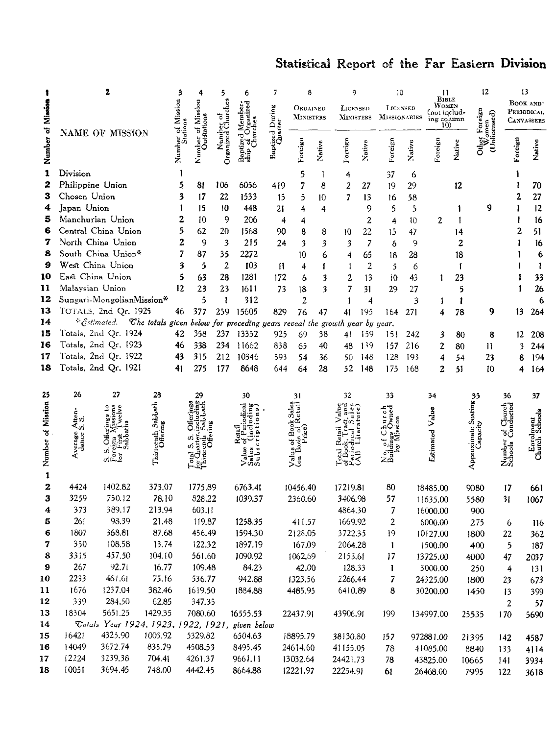# Statistical Report of the Far Eastern Division

|                   | 2                                  |                                                                                         |                                | 3                          | 4                             | 5                      | 6                  | 7                          | 8                     |                         | 9                  |          | 10                                        |        | п<br><b>BIBLE</b>                          |              | 12                      |                                       | 13                                          |
|-------------------|------------------------------------|-----------------------------------------------------------------------------------------|--------------------------------|----------------------------|-------------------------------|------------------------|--------------------|----------------------------|-----------------------|-------------------------|--------------------|----------|-------------------------------------------|--------|--------------------------------------------|--------------|-------------------------|---------------------------------------|---------------------------------------------|
| Number of Mission |                                    | NAME OF MISSION                                                                         |                                | Number of Mission<br>ssion |                               | nurches<br>ō           |                    | Baptized During<br>Quarter | ORDAINED<br>MINISTERS |                         | LICENSED           |          | <b>LICENSED</b><br>MINISTERS MISSIONARIES |        | WOMEN<br>(not includ-<br>ing column<br>10) |              | Foreign<br>(Unlicensed) |                                       | <b>BOOK AND</b><br>PERIODICAL<br>CANVASSERS |
|                   |                                    |                                                                                         |                                |                            | Number of Miss<br>Outstations | Number<br>Organized Cl |                    |                            | Foreign               | Native                  | Foreign            | Native   |                                           | Native | Foreign                                    | Native       | Other<br>V              | Foreign                               | Native                                      |
| 1                 | Division                           |                                                                                         |                                | I                          |                               |                        |                    |                            | 5                     | 1                       | 4                  |          | 37                                        | 6      |                                            |              |                         |                                       |                                             |
| 2                 | Philippine Union                   |                                                                                         |                                | 5                          | 81                            | 106                    | 6056               | 419                        | 7                     | 8                       | 2                  | 27       | 19                                        | 29     |                                            | 12           |                         |                                       | 70                                          |
| з                 | Chosen Union                       |                                                                                         |                                | 3                          | 17                            | 22                     | 1533               | 15                         | 5                     | 10                      | 7                  | 13       | 16                                        | 58     |                                            |              |                         | 2                                     | 27                                          |
| 4                 | Japan Union                        |                                                                                         |                                | 1                          | 15                            | 10                     | 448                | 21                         | 4                     | 4                       |                    | 9        | 5                                         | 5      |                                            | 1            | 9                       | 1                                     | 12                                          |
| 5                 |                                    | Manchurian Union                                                                        |                                | 2                          | 10                            | 9                      | 206                | 4                          | 4                     |                         |                    | 2        | 4                                         | 10     | $\mathbf{2}$                               | 1            |                         | ı                                     | 16                                          |
| 6                 |                                    | Central China Union                                                                     |                                | 5                          | 62                            | 20                     | 1568               | 90                         | 8                     | 8                       | 10                 | 22       | 15                                        | 47     |                                            | 4            |                         | 2                                     | 51                                          |
| 7                 |                                    | North China Union                                                                       |                                | 2                          | 9                             | 3                      | 215                | 24                         | 3                     | 3                       | 3                  | 7        | 6                                         | 9      |                                            | 2            |                         |                                       | 16                                          |
| 8                 |                                    | South China Union*                                                                      |                                | 7                          | 87                            | 35                     | 2272               |                            | 10                    | 6                       | 4                  | 65       | 18                                        | 28     |                                            | 18           |                         |                                       | 6                                           |
| 9                 |                                    | West China Union                                                                        |                                | 3                          | 5                             | 2                      | 103                | 11                         | 4                     | ſ                       | 1                  | 2        | 5                                         | 6      |                                            | $\mathbf{I}$ |                         |                                       | 1                                           |
| 10                |                                    | East China Union                                                                        |                                | 5                          | 63                            | 28                     | 1281               | 172                        | 6                     | 3                       | 2                  | 13       | i0                                        | 43     | ı                                          | 23           |                         |                                       | 33                                          |
| 11<br>12          | Malaysian Union                    | Sungari-MongolianMission*                                                               |                                | 12                         | 23<br>5                       | 23<br>1                | 1611               | 73                         | 18                    | $\overline{\mathbf{3}}$ | 7                  | 31       | 29                                        | 27     |                                            | 5            |                         |                                       | 26                                          |
| 13                |                                    | TOTALS, 2nd Qr. 1925                                                                    |                                | 46                         | 377                           |                        | 312<br>259 15605   | 829                        | 2<br>76               |                         | 41                 | 4<br>195 | 164                                       | 3      | 1                                          | ł<br>78      | 9                       | 13                                    | 6<br>264                                    |
| 14                |                                    | * Estimated. The totals given below for preceding years reveal the growth year by year. |                                |                            |                               |                        |                    |                            |                       | 47                      |                    |          |                                           | 271    | 4                                          |              |                         |                                       |                                             |
| 15                |                                    | Totals, 2nd Qr. 1924                                                                    |                                | 42                         | 358                           | 237                    | 13352              | 925                        | 69                    | 38                      | 41                 | 159      | 151                                       | 242    | 3                                          | 80           | 8                       | 12                                    | 208                                         |
| 16                |                                    | Totals, 2nd Qr. 1923                                                                    |                                | 46                         | 338                           | 234                    | 11662              | 838                        | 65                    | 40                      | 48                 | 139      | 157                                       | 216    | 2                                          | 80           | 11                      |                                       | 244<br>3                                    |
| 17                |                                    | Totals, 2nd Qr. 1922                                                                    |                                | 43                         | 315                           | 212                    | 10346              | 593                        | 54                    | 36                      | 50                 | 148      | 128                                       | 193    | 4                                          | 54           | 23                      | 8                                     | 194                                         |
| 18                |                                    | Totals, 2nd Qr. 1921                                                                    |                                | 41                         | 275                           | 177                    | 8648               | 644                        | 64                    | 28                      | 52                 | 148      | 175                                       | 168    | $\overline{2}$                             | 51           | 10                      | 4                                     | 164                                         |
|                   |                                    |                                                                                         |                                |                            |                               |                        |                    |                            |                       |                         |                    |          |                                           |        |                                            |              |                         |                                       |                                             |
| 25                | 26                                 | 27                                                                                      | 28                             |                            | 29                            |                        | 30                 |                            | 31                    |                         | 32                 |          | 33                                        |        | 34                                         |              | 35                      | 36                                    | 37                                          |
|                   |                                    |                                                                                         | Thirteenth Sabbath<br>Offering |                            |                               |                        |                    |                            |                       |                         |                    |          |                                           |        |                                            |              | Seating                 |                                       |                                             |
|                   | $\frac{\text{Atten}}{\text{S.S.}}$ |                                                                                         |                                |                            |                               |                        |                    |                            |                       |                         |                    |          |                                           |        | <b>Estimated Value</b>                     |              |                         |                                       | Enrolment<br>Church Schools                 |
|                   | Average<br>dance                   | e<br>Ofici                                                                              |                                |                            |                               |                        |                    |                            |                       |                         |                    |          | ပ                                         |        |                                            |              | Capacity                |                                       |                                             |
|                   |                                    |                                                                                         |                                |                            |                               |                        |                    |                            |                       |                         |                    |          | ÷,<br>ð                                   |        |                                            |              |                         |                                       |                                             |
| Number of Mission |                                    | si<br>Sorei<br>ŏ                                                                        |                                |                            | otal                          |                        | Sai<br>Su          |                            | Jalue<br>Value        |                         |                    | ∢        | ∠ື້ສີ່<br>2ສີ                             |        |                                            |              | Approximate             | Number of Church<br>Schools Conducted |                                             |
| 1                 |                                    |                                                                                         |                                |                            |                               |                        |                    |                            |                       |                         |                    |          |                                           |        |                                            |              |                         |                                       |                                             |
| 2                 | 4424                               | 1402.82                                                                                 | 373.07                         |                            | 1775.89                       |                        | 6763.41            |                            | 10456.40              |                         | 17219.81           |          | 80                                        |        | 18485.00                                   |              | 9080                    | 17                                    | 661                                         |
| 3                 | 3259                               | 750.12                                                                                  | 78.10                          |                            | 828.22                        |                        | 1039.37            |                            | 2360.60               |                         | 3406.98            |          | 57                                        |        | 11635.00                                   |              | 5580                    | 31                                    | 1067                                        |
| 4                 | 373                                | 389.17                                                                                  | 213.94                         |                            | 603.11                        |                        |                    |                            |                       |                         | 4864.30            |          | 7                                         |        | 16000.00                                   |              | 900                     |                                       |                                             |
| 5                 | 261                                | 98.39                                                                                   | 21.48                          |                            | 119.87                        |                        | 1258.35            |                            | 411.57                |                         | 1669.92            |          | 2                                         |        | 6000.00                                    |              | 275                     | 6                                     | 116                                         |
| 6<br>7            | 1807<br>350                        | 368.81<br>108.58                                                                        | 87.68<br>13.74                 |                            | 456.49                        |                        | 1594.30            |                            | 2128.05               |                         | 3722.35            |          | 19                                        |        | 10127.00                                   |              | 1800                    | 22                                    | 362                                         |
| 8                 | 3315                               | 457.50                                                                                  | 104.10                         |                            | 122.32<br>561.60              |                        | 1897.19<br>1090.92 |                            | 167.09<br>1062.69     |                         | 2064.28<br>2153.61 |          | 1<br>17                                   |        | 1500.00<br>13725.00                        |              | 400<br>4000             | 5<br>47                               | 187<br>2037                                 |
| 9                 | 267                                | 92.71                                                                                   | 16.77                          |                            | 109.48                        |                        | 84.23              |                            | 42.00                 |                         | 128.33             |          | $\mathbf{1}$                              |        | 3000.00                                    |              | 250                     | $\overline{4}$                        | 131                                         |
| 10                | 2233                               | 461.61                                                                                  | 75.16                          |                            | 536.77                        |                        | 942.88             |                            | 1323.56               |                         | 2266.44            |          | 7.                                        |        | 24325.00                                   |              | 1800                    | 23                                    | 673                                         |
| 11                | 1676                               | 1237.04                                                                                 | 382.46                         |                            | 1619.50                       |                        | 1884.88            |                            | 4485.95               |                         | 6410.89            |          | 8                                         |        | 30200.00                                   |              | 1450                    | 13                                    | 399                                         |
| 12                | 339                                | 284.50                                                                                  | 62.85                          |                            | 347.35                        |                        |                    |                            |                       |                         |                    |          |                                           |        |                                            |              |                         | $\overline{2}$                        | 57                                          |
| 13                | 18304                              | 5651.25                                                                                 | 1429.35                        |                            | 7080.60                       |                        | 16555.53           |                            | 22437.91              |                         | 43906.91           |          | 199                                       |        | 134997.00                                  |              | 25535                   | 170                                   | 5690                                        |
| 14                |                                    | Totals Year 1924, 1923, 1922, 1921, given below                                         |                                |                            |                               |                        |                    |                            |                       |                         |                    |          |                                           |        |                                            |              |                         |                                       |                                             |
| 15                | 16421                              | 4325.90                                                                                 | 1003.92                        |                            | 5329.82                       |                        | 6504.63            |                            | 18895.79              |                         | 38130.80           |          | 157                                       |        | 972881.00                                  |              | 21395                   | 142                                   | 4587                                        |
| 16                | 14049                              | 3672.74                                                                                 | 835.79                         |                            | 4508.53                       |                        | 8495.45            |                            | 24614.60              |                         | 41155.05           |          | 78                                        |        | 41085.00                                   |              | 8840                    | 133                                   | 4114                                        |
| 17                | 12224                              | 3239.38                                                                                 | 704.41                         |                            | 4261.37                       |                        | 9661.11            |                            | 13032.64              |                         | 24421.73           |          | 78                                        |        | 43825.00                                   |              | 10665                   | 141                                   | 3934                                        |
| 18                | 10051                              | 3694.45                                                                                 | 748.00                         |                            | 4442.45                       |                        | 8664.88            |                            | 12221.97              |                         | 22254.91           |          | 61                                        |        | 26468.00                                   |              | 7995                    | 122                                   | 3618                                        |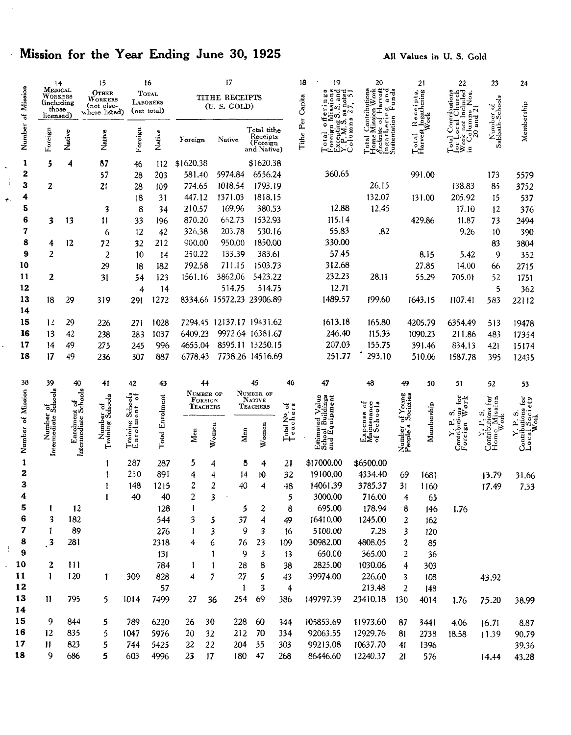# Mission for the Year Ending June 30, 1925

All Values in U.S. Gold

|                   | 14<br>Medical                               |                                      | 15                                              |                                  | 16                               |                      | 17                             |              |                                                    |             | 18<br>19                                                                                       | 20                                                                                                                                    |                                       | 21                                     | 22                                                                                                                                                                                                                                  | 23                                                                                       | 24                                                                                                 |
|-------------------|---------------------------------------------|--------------------------------------|-------------------------------------------------|----------------------------------|----------------------------------|----------------------|--------------------------------|--------------|----------------------------------------------------|-------------|------------------------------------------------------------------------------------------------|---------------------------------------------------------------------------------------------------------------------------------------|---------------------------------------|----------------------------------------|-------------------------------------------------------------------------------------------------------------------------------------------------------------------------------------------------------------------------------------|------------------------------------------------------------------------------------------|----------------------------------------------------------------------------------------------------|
| Number of Mission | WORKERS<br>(including<br>those<br>licensed) |                                      | OTHER<br>WORKERS<br>(not else-<br>where listed) |                                  | TOTAL<br>LABORERS<br>(net total) |                      | TITHE RECEIPTS<br>(U. S. GOLD) |              |                                                    |             | ಿರರ<br>as noted<br>$27,51$<br>issions<br>S. anc<br>Capita<br>ш<br>$\blacksquare$<br>oj<br>รั≊ุ | Contributions<br>Mission Work                                                                                                         |                                       |                                        | Consigle Churca<br>ocal Churca<br>. and Included<br>. This Nos.<br>$\begin{bmatrix} \text{umns} \\ \text{and} \ 2 \end{bmatrix}$                                                                                                    |                                                                                          |                                                                                                    |
|                   | Foreign                                     | Native                               | Native                                          | Foreign                          | Native                           | Foreign              | Native                         |              | Total tithe<br>Receipts<br>(Foreign<br>and Native) |             | I.F.m.s.<br>Columns<br>Tithe Per<br>$x$ cepting<br>$\alpha$<br>orei                            | Home Mission Work<br><i>Creduste</i> of Harvest<br>Ingathering and<br>Ingathering and<br>Sustentation Funds<br>$\overline{\text{at}}$ |                                       | Total Receipts,<br>Harvest Ingathering | .ocal<br>⊣ಿಕ್ಷಲಿ<br>೬ಾರ್ತಿ<br>ē.                                                                                                                                                                                                    | Number of<br>Sabbath-Schools                                                             | Membership                                                                                         |
| 1                 | 5                                           | 4                                    | 87                                              | 46                               | 112                              | \$1620.38            |                                |              | \$1620.38                                          |             |                                                                                                |                                                                                                                                       |                                       |                                        |                                                                                                                                                                                                                                     |                                                                                          |                                                                                                    |
| 2                 |                                             |                                      | 57                                              | 28                               | 203                              | 581.40               | 5974.84                        |              | 6556.24                                            |             | 360.65                                                                                         |                                                                                                                                       |                                       | 991.00                                 |                                                                                                                                                                                                                                     | 173                                                                                      | 5579                                                                                               |
| 3                 | $\boldsymbol{z}$                            |                                      | 21                                              | 28                               | 109                              | 774.65               | 1018.54                        |              | 1793.19                                            |             |                                                                                                | 26.15                                                                                                                                 |                                       |                                        | 138.83                                                                                                                                                                                                                              | 85                                                                                       | 3752                                                                                               |
| 4                 |                                             |                                      |                                                 | 18                               | 31                               | 447.12               | 1371.03                        |              | 1818.15                                            |             |                                                                                                | 132.07                                                                                                                                |                                       | 131.00                                 | 205.92                                                                                                                                                                                                                              | 15                                                                                       | 537                                                                                                |
| 5                 |                                             |                                      | 3                                               | 8                                | 34                               | 210.57               | 169.96                         |              | 380.53                                             |             | 12.88                                                                                          | 12.45                                                                                                                                 |                                       |                                        | 17.10                                                                                                                                                                                                                               | 12                                                                                       | 376                                                                                                |
| 6                 | 3                                           | 13                                   | $\mathbf{1}$                                    | 33                               | 196                              | 870.20               | 662.73                         |              | 1532.93                                            |             | 115.14                                                                                         |                                                                                                                                       |                                       | 429.86                                 | 11.87                                                                                                                                                                                                                               | 73                                                                                       | 2494                                                                                               |
| 7                 |                                             |                                      | 6                                               | 12                               | 42                               | 326.38               | 203.78                         |              | 530.16                                             |             | 55.83                                                                                          | .82                                                                                                                                   |                                       |                                        | 9.26                                                                                                                                                                                                                                | 10                                                                                       | 390                                                                                                |
| 8                 | 4                                           | $12 \,$                              | 72                                              | 32                               | 212                              | 900.00               | 950.00                         |              | 1850.00                                            |             | 330.00                                                                                         |                                                                                                                                       |                                       |                                        |                                                                                                                                                                                                                                     | 83                                                                                       | 3804                                                                                               |
| 9                 | 2                                           |                                      | $\overline{2}$                                  | 10                               | 14                               | 250.22               | 133.39                         |              | 383.61                                             |             | 57.45                                                                                          |                                                                                                                                       |                                       | 8.15                                   | 5.42                                                                                                                                                                                                                                | 9                                                                                        | 352                                                                                                |
| 10                |                                             |                                      | 29                                              | 18                               | 182                              | 792.58               | 711.15                         |              | 1503.73                                            |             | 312.68                                                                                         |                                                                                                                                       |                                       | 27.85                                  | 14.00                                                                                                                                                                                                                               | 66                                                                                       | 2715                                                                                               |
| 11                | 2                                           |                                      | 31                                              | 54                               | 123                              | 1561.16              | 3862.06                        |              | 5423.22                                            |             | 232.23                                                                                         | 28.11                                                                                                                                 |                                       | 55.29                                  | 705.01                                                                                                                                                                                                                              | 52                                                                                       | 1751                                                                                               |
| 12                |                                             |                                      |                                                 | 4                                | 14                               |                      | 514.75                         |              | 514.75                                             |             | 12.71                                                                                          |                                                                                                                                       |                                       |                                        |                                                                                                                                                                                                                                     | 5                                                                                        | 362                                                                                                |
| 13<br>14          | 18                                          | 29                                   | 319                                             | 291                              | 1272                             |                      | 8334.66 15572.23 23906.89      |              |                                                    |             | 1489.57                                                                                        | 199.60                                                                                                                                |                                       | 1643.15                                | 1107.41                                                                                                                                                                                                                             | 583                                                                                      | 22112                                                                                              |
| 15                | 12                                          | 29                                   | 226                                             | 271                              | 1028                             |                      | 7294.45 12137.17 19431.62      |              |                                                    |             | 1613.18                                                                                        | 165.80                                                                                                                                |                                       | 4205.79                                | 6354.49                                                                                                                                                                                                                             | 513                                                                                      | 19478                                                                                              |
| 16                | 13                                          | 42                                   | 238                                             | 283                              | 1037                             | 6409.23              |                                |              | 9972.64 16381.67                                   |             | 246.40                                                                                         | 115.33                                                                                                                                |                                       | 1090.23                                | 211.86                                                                                                                                                                                                                              | 483                                                                                      | 17354                                                                                              |
| 17                | 14                                          | 49                                   | 275                                             | 245                              | 996                              | 4655.04              |                                |              | 8595.11 13250.15                                   |             | 207.03                                                                                         | 155.75                                                                                                                                |                                       | 391.46                                 | 834.13                                                                                                                                                                                                                              | 421                                                                                      | 15174                                                                                              |
| 18                | 17                                          | 49                                   | 236                                             | 307                              | 887                              | 6778.43              |                                |              | 7738.26 14516.69                                   |             | 251.77                                                                                         | 293.10                                                                                                                                |                                       | 510.06                                 | 1587.78                                                                                                                                                                                                                             | 395                                                                                      | 12435                                                                                              |
|                   |                                             |                                      |                                                 |                                  |                                  |                      |                                |              |                                                    |             |                                                                                                |                                                                                                                                       |                                       |                                        |                                                                                                                                                                                                                                     |                                                                                          |                                                                                                    |
| 38                | 39                                          | 40                                   | 41                                              | 42                               | 43                               | 44                   |                                |              | 45                                                 | 46          | 47                                                                                             | 48                                                                                                                                    | 49                                    | 50                                     | 51                                                                                                                                                                                                                                  | 52                                                                                       | 53                                                                                                 |
|                   |                                             |                                      |                                                 |                                  |                                  | NUMBER OF<br>FOREIGN |                                |              | NUMBER OF<br>NATIVE                                |             |                                                                                                |                                                                                                                                       |                                       |                                        | .<br>Gr                                                                                                                                                                                                                             |                                                                                          |                                                                                                    |
|                   |                                             |                                      | Number of<br>Training Schools                   | Training Schools<br>Enrolment of | <b>Total Enrolment</b>           | TEACHERS             |                                |              | TEACHERS                                           | otal No. of |                                                                                                | aintenance<br>Schools<br>۰                                                                                                            |                                       | Membership                             | sing the second second second in the second second second in the second second second in the second second second second second second second second second second second second second second second second second second sec<br>m | w                                                                                        |                                                                                                    |
|                   |                                             |                                      |                                                 |                                  |                                  |                      |                                |              |                                                    |             |                                                                                                |                                                                                                                                       |                                       |                                        | ρ,                                                                                                                                                                                                                                  | ۵.                                                                                       |                                                                                                    |
|                   |                                             |                                      |                                                 |                                  |                                  | Men                  | Women                          | Men          | Women                                              |             |                                                                                                |                                                                                                                                       |                                       |                                        | ×                                                                                                                                                                                                                                   |                                                                                          |                                                                                                    |
| Number of Mission | Number of<br>Intermediate Schools           | Enrolment of<br>Intermediate Schools |                                                 |                                  |                                  |                      |                                |              |                                                    | ⊢⊢          | Estimated Value<br>School Buildings<br>and Equipment                                           | చికి న                                                                                                                                | Number of Young<br>People's Societies |                                        | Contribution<br>Foreign                                                                                                                                                                                                             | $\begin{array}{c} \text{Contributions for} \\ \text{Home} \\ \text{Work} \\ \end{array}$ | $\begin{array}{c} \textbf{Continuions for} \\ \textbf{Local Society} \\ \textbf{Work} \end{array}$ |
| $\mathbf{1}$      |                                             |                                      | 1                                               | 287                              | 287                              | 5                    | 4                              | 8            | 4                                                  | 21          | \$17000.00                                                                                     | \$6500.00                                                                                                                             |                                       |                                        |                                                                                                                                                                                                                                     |                                                                                          |                                                                                                    |
| $\mathbf 2$       |                                             |                                      | 1                                               | 230                              | 891                              | 4                    | 4                              | 14           | 10                                                 | 32          | 19100.00                                                                                       | 4334.40                                                                                                                               | 69                                    | 1681                                   |                                                                                                                                                                                                                                     | 13.79                                                                                    | 31.66                                                                                              |
| 3                 |                                             |                                      |                                                 | 148                              | 1215                             | 2                    | 2                              | 40           | 4                                                  | 48          | 14061.39                                                                                       | 3785.37                                                                                                                               | 31                                    | 1160                                   |                                                                                                                                                                                                                                     | 17.49                                                                                    | 7.33                                                                                               |
| 4                 |                                             |                                      | 1                                               | 40                               | 40                               | 2                    | 3                              |              |                                                    | 5           | 3000.00                                                                                        | 716.00                                                                                                                                | 4                                     | 65                                     |                                                                                                                                                                                                                                     |                                                                                          |                                                                                                    |
| 5                 | 1                                           | 12                                   |                                                 |                                  | 128                              | 1                    |                                | 5            | $\boldsymbol{2}$                                   | 8           | 695.00                                                                                         | 178.94                                                                                                                                | 8                                     | 146                                    | 1.76                                                                                                                                                                                                                                |                                                                                          |                                                                                                    |
| 6                 | 3                                           | 182                                  |                                                 |                                  | 544                              | 3                    | 5                              | 37           | 4                                                  | 49          | 16410.00                                                                                       | 1245.00                                                                                                                               | 2                                     | 162                                    |                                                                                                                                                                                                                                     |                                                                                          |                                                                                                    |
| 7                 | 1                                           | 89                                   |                                                 |                                  | 276                              | 1                    | 3                              | 9            | 3                                                  | 16          | 5100.00                                                                                        | 7.28                                                                                                                                  | 3                                     | 120                                    |                                                                                                                                                                                                                                     |                                                                                          |                                                                                                    |
| 8                 | 3                                           | 281                                  |                                                 |                                  | 2318                             | 4                    | 6                              | 76           | 23                                                 | 109         | 30982.00                                                                                       | 4808.05                                                                                                                               | 2                                     | 85                                     |                                                                                                                                                                                                                                     |                                                                                          |                                                                                                    |
| 9                 |                                             |                                      |                                                 |                                  | 131                              |                      | 1                              | 9            | 3                                                  | 13          | 650.00                                                                                         | 365.00                                                                                                                                | 2                                     | 36                                     |                                                                                                                                                                                                                                     |                                                                                          |                                                                                                    |
| 10                | $\bf{2}$                                    | 111                                  |                                                 |                                  | 784                              | 1                    | 1                              | 28           | 8                                                  | 38          | 2825.00                                                                                        | 1030.06                                                                                                                               | 4                                     | 303                                    |                                                                                                                                                                                                                                     |                                                                                          |                                                                                                    |
| 11                | 1                                           | 120                                  | 1                                               | 309                              | 828                              | 4                    | 7                              | 27           | 5                                                  | 43          | 39974.00                                                                                       | 226.60                                                                                                                                | 3                                     | 108                                    |                                                                                                                                                                                                                                     | 43.92                                                                                    |                                                                                                    |
| 12                |                                             |                                      |                                                 |                                  | 57                               |                      |                                | $\mathbf{1}$ | 3                                                  | 4           |                                                                                                | 213.48                                                                                                                                | $\boldsymbol{2}$                      | 148                                    |                                                                                                                                                                                                                                     |                                                                                          |                                                                                                    |
| 13                | $\mathbf{11}$                               | 795                                  | 5                                               | 1014                             | 7499                             | 27                   | 36                             | 254          | 69                                                 | 386         | 149797.39                                                                                      | 23410.18                                                                                                                              | 130                                   | 4014                                   | 1.76                                                                                                                                                                                                                                | 75.20                                                                                    | 38,99                                                                                              |
| 14                |                                             |                                      |                                                 |                                  |                                  |                      |                                |              |                                                    |             |                                                                                                |                                                                                                                                       |                                       |                                        |                                                                                                                                                                                                                                     |                                                                                          |                                                                                                    |
|                   |                                             |                                      |                                                 | 789                              |                                  |                      | 30                             | 228          | 60                                                 | 344         | 105853.69                                                                                      | 11973.60                                                                                                                              | 87                                    | 3441                                   | 4.06                                                                                                                                                                                                                                | 16.71                                                                                    | 8.87                                                                                               |
| 15                | 9                                           | 844                                  | 5                                               |                                  | 6220                             | 26                   |                                |              |                                                    |             |                                                                                                |                                                                                                                                       |                                       |                                        |                                                                                                                                                                                                                                     |                                                                                          |                                                                                                    |
| 16                | 12                                          | 835                                  | 5                                               | 1047                             | 5976                             | 20                   | 32                             | 212          | 70                                                 | 334         | 92063.55                                                                                       | 12929.76                                                                                                                              | 81                                    |                                        |                                                                                                                                                                                                                                     | 11.39                                                                                    |                                                                                                    |
| 17                | $\boldsymbol{\mathsf{11}}$                  | 823                                  | 5                                               | 744                              | 5425                             | 22                   | 22                             | 204          | 55                                                 | 303         | 99213.08                                                                                       | 10637.70                                                                                                                              | 41                                    | 2738                                   | 18.58                                                                                                                                                                                                                               |                                                                                          | 90.79<br>39.36                                                                                     |
| 18                | 9                                           | 686                                  | 5                                               | 603                              | 4996                             | 23                   | 17                             | 180          | 47                                                 | 268         | 86446.60                                                                                       | 12240.37                                                                                                                              | 21                                    | 1396<br>576                            |                                                                                                                                                                                                                                     | 14.44                                                                                    | 43.28                                                                                              |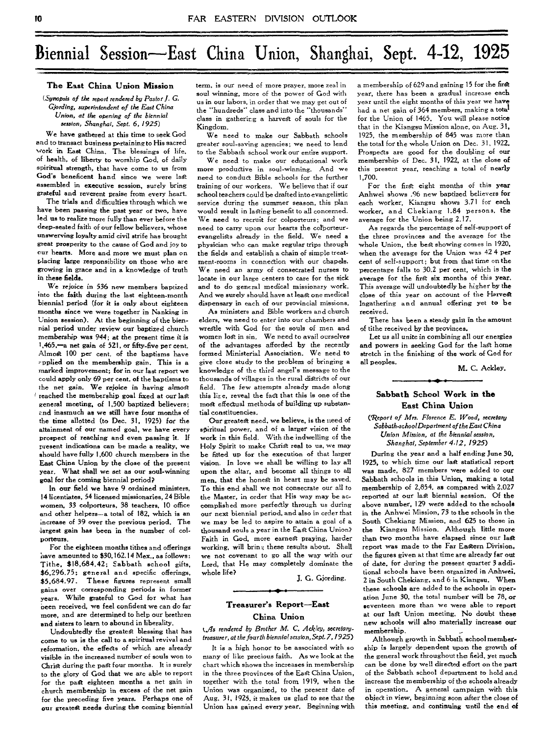# Biennial Session—East China Union, Shanghai, Sept. 4-12, 1925

#### **The East China Union Mission**

*(Synopsis of the report rendered by Pastor J. G. Gjording, superintendent of the East China Union, at the opening of the biennial session, Shanghai, Sept. 6, 1925)* 

We have gathered at this time to seek God and to transact business pertaining to His sacred work in East China, The blessings of life, of health, of liberty to worship God, of daily spiritual strength, that have come to us from God's beneficent hand since we were last assembled in executive session, surely bring grateful and reverent praise from every heart.

The trials and difficulties through which we have been passing the past year or two, have led us to realize more fully than ever before the deep-seated faith of our fellow believers, whose unswerving loyalty amid civil strife has brought great prosperity to the cause of God and joy to cur hearts. More and more we must plan on placing large responsibility on those who are growing in grace and in a knowledge of truth in these fields.

We rejoice in 536 new members baptized into the faith during the last eighteen-month biennial period (for it is only about eighteen months since we were together in Nanking in Union session). At the beginning of the biennial period under review our baptized church membership was *944;at* the present time it is 1,465,—a net gain of 521, or fifty-five per cent. Almost 100 per cent. of the baptisms have pplied on the membership gain. This is a marked improvement; for in our last report we could apply only 69 per cent. of the baptisms to the net gain. We *rejoice in having almost*  reached the membership goal fixed at our last general meeting, of 1,500 baptized believers; and inasmuch as we still have four months of the time allotted (to Dec. 31, 1925) for the attainment of our named goal, we have every prospect of reaching and even passing it. If present indications can be made a reality, we should have fully 1,600 church members in the East China Union by the close of the present year. What shall we set as our soul-winning goal for the coming biennial period?

In our field we have 9 ordained ministers, 14 licentiates, 54 licensed missionaries, 24 Bible women. 33 colporteurs, 38 teachers, 10 office and other helpers—a total of 182, which is an increase of 39 over the previous period. The -largest gain has been in the number of colporteurs.

For the eighteen months tithes and offerings have amounted to \$30,162.14 Mex., as follows: Tithe, \$18,684.42; Sabbath school gifts, \$6,296.75; general and specific offerings, \$5,684.97. These figures represent small gains over corresponding periods in former years. While grateful to God for what has been received, we feel confident we can do far more, and are determined to help our brethren and sisters to learn to abound in liberality.

Undoubtedly the greatest blessing that has come to us is the call to a spiritual revival and reformation, the effects of which are already visible in the increased number of souls won to Christ during the past four months. It is surely to the glory of God that we are able to report for the past eighteen months a net gain in church membership in excess of the net gain for the preceding five years. Perhaps one of our greatest needs during the coming biennial

term, is our need of more prayer, more zeal in soul winning, more of the power of God with us in our labors, in order that we may get out of the "hundreds" class and into the "thousands" class in gathering a harvest of souls for the Kingdom.

We need to make our Sabbath schools greater soul-saving agencies; we need to lend to the Sabbath school work our entire support.

We need to make our educational work more productive in soul-winning. And we need to conduct Bible schools for the further training of our workers. We believe that if our school teachers could be drafted into evangelistic service during the summer season, this plan would result in lasting benefit to all concerned. We need to recruit for colporteurs; and we need to carry upon our hearts the col'porteurevangelists already in the field. We need a physician who can make regular trips through the fields and establish a chain of simple treatment-rooms in connection with our chapels. We need an army of consecrated nurses to locate in our large centers to care for the sick and to do general medical missionary work. And we surely should have at least one medical dispensary in each of our provincial missions.

As ministers and Bible workers and church elders, we need to enter into our chambers and wrestle with God for the souls of men and women lost in sin. We need to *avail* ourselves of the advantages afforded by the recently formed Ministerial Association. We need to give close study to the problem of bringing a knowledge of the third angel's message to the thousands of villages in the rural districts of our field. The few attempts already made along this lire, reveal the fact that this is one of the most effectual methods of building up substantial constituencies.

Our greatest need, we believe, is the need of spiritual power, and of a larger vision of the work in this field. With the indwelling of the Holy Spirit to make Christ real to us, we may be fitted up for the execution of that larger vision. In love we shall be willing to lay all upon the altar, and become all things to all men, that the honest in heart may be saved. To this end shall we not consecrate our all to the Master, in order that His way may be accomplished more perfectly through us during our next biennial period, and also in order that we may be led to aspire to attain a goal of a thousand souls a year in the East China Union? Faith in God, more earnest praying, harder working, will bring these results about. Shall we not covenant to go all the way with our Lord, that He may completely dominate the whole life?

J. G. Giording.

# **Treasurer's Report—East China Union**

*tYls rendered by Brother M.* C. *Ackley, secretarytreasurer, at the fourth biennial session, Sept. 7, 1925)* 

It is a high honor to be associated with so many of like precious faith. As we look at the chart which shows the increases in membership in the three provinces of the East China Union, together with the total from 1919, when the Union was organized, to the present date of Aug. 31, 1925, it makes us glad to see that the Union has gained every year. Beginning with

a membership of 629 and gaining 15 for the first year, there has been a gradual increase each year until the eight months of this year we have had a net gain of 364 members, making a total for the Union of 1465, You will please notice that in the Kiangsu Mission alone, on Aug. 31, 1925, the membership of 845 was more than the total for the whole Union on Dec. 31, 1922. Prospects are good for the doubling of our membership of Dec. 31, 1922, at the close of this present year, reaching a total of nearly 1,700.

For the first eight months of this year Anhwei shows .96 new baptized believers for each worker, Kiangsu shows 3.71 for each worker, and Chekiang 1.84 persons, the average for the Union being 2.17.

As regards the percentage of self-support of the three provinces and the average for the whole Union, the best showing comes in 1920, when the average for the Union was 42 4 per cent of self-support ; but from that time on the percentage falls to 30.2 per cent, which is the average for the first six months of this year. This average will undoubtedly be higher by the close of this year on account of the Harvest Ingathering and annual offering yet to be received.

There has been a steady gain in the amount of tithe received by the provinces.

Let us all unite in combining all our energies and powers in seeking God for the last home stretch in the finishing of the work of God for all peoples.

M. C. Ackley.

## **Sabbath School Work in the East China Union**

*('Report of Mrs. Florence E. Wood, secretary Sabbath-school Department of the East China Union Mission, at the biennial session, Shanghai, September 4-12, 1925)* 

During the year and a half ending June 30, 1925, to which time our last statistical report was made, 827 members were added to our Sabbath schools in this Union, making a total membership of 2,854, *as* compared with 2.027 reported at our last biennial session. Of the above number, 129 were added to the schools in the Anhwei Mission, 73 to the schools in the South Chekiang Mission, and 625 to those in the Kiangsu Mission. Although little more than two months have elapsed since our last report was made to the Far Eastern Division, the figures given at that time are already far out of date, for during the present quarter 3 additional schools have been organized in Anhwei, 2 in South Chekiang, and 6 in Kiangsu. When these schools are added to the schools in operation June 30, the total number will be 78, or seventeen more than we *were* able to report at our last Union meeting, No doubt these new schools will also materially increase **our membership.** 

**Although growth** in Sabbath school membership is largely dependent upon the growth of the general work throughout the field, yet much can be done by well directed effort on the part of the Sabbath school department to hold and increase the membership of the schools already in operation. A general campaign with this object in view, beginning soon after the close of this meeting, and continuing until the end of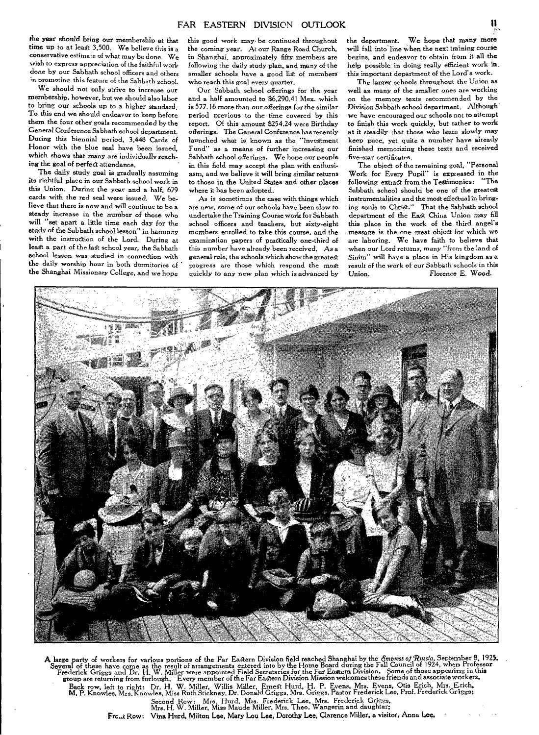the year should bring our membership at that time up to at least 3,500. We believe this is a conservative estimate of what may be done. We wish to express appreciation of the faithful work done by our Sabbath school officers and others in promoting this feature of the Sabbath school.

We should not only strive to increase our membership, however, but we should also labor to bring our schools up to a higher standard. To this end we should endeavor to keep before them the four other goals recommended by the General Conference Sabbath school department. During this biennial period, 3,448 Cards of Honor with the blue seal have been issued, which shows that many are individually reaching the goal of perfed attendance.

The daily study goal is gradually assuming its rightful place in our Sabbath school work in this Union. During the year and a half, 679 cards with the red seal were issued. We believe that there is now and will continue to be a steady increase in the number of those who will "set apart a little time each day for the study of the Sabbath school lesson" in harmony with the instruction of the Lord. During at least a part of the last school year, the Sabbath school lesson was studied in connection with the daily worship hour in both dormitories of the Shanghai Missionary College, and we hope

this good work may- be continued throughout the coming year. At our Range Road Church, in Shanghai, approximately fifty members are following the daily study plan, and many of the smaller schools have a good list of members who reach this goal every quarter.

Our Sabbath school offerings for the year and a half amounted to \$6,290.41 Mex. which *is* 577.16 more than our *offerings for the similar*  period previous to the time covered by this report. Of this amount \$254.24 were Birthday offerings. The General Conference has recently launched what is known as the "Investment Fund" as a means of further increasing our Sabbath school offerings. We hope our people in this field may accept the plan with enthusiasm, and we believe it will bring similar returns to those in the United States and other places where it has been adopted.

As is sometimes the case with things which are new, some of our schools have been slow to undertake the Training Course work for Sabbath school officers and teachers, but sixty-eight members enrolled to take this course, and the examination papers of practically one-third of this number have already been received. As a general rule, the schools which show the greatest progress are those which respond the most quickly to any new plan which is advanced by

the department. We hope that many more will fall into line when the next training course begins, and endeavor to obtain from it all the help possible in doing really efficient work in *this* important department of the Lord's work.

The larger schools throughout the Union as well as many of the smaller ones are working on the memory texts recommended by the *Division Sabbath* school department. Although we have encouraged our schools not to attempt to finish this work quickly, but rather to work at it steadily that those who learn slowly *may*  keep pace, yet quite a number have already finished memorizing these texts and received five-star certificates.

The object of the remaining goal. 'Personal Work for Every Pupil" is expressed in the following extract from the Testimonies: Sabbath school should be one of the greatest instrumentalities and the most effectual in bringing souls to Christ." That the Sabbath school department of the East China Union may fill this place in the work of the third angel's message is the one great object for which we are laboring. We have faith to believe that when our Lord *returns,* many "from the land of Sinim- will have a place in His kingdom as a result of the work of our Sabbath schools in this Union. *Florence* E. Wood.



A large party of workers for various portions of the Far Eastern Division field reached Shanghai by the *Embress of Russia*, September 8, 1925.<br>Several of these have come as the result of arrangements entered into by the H Second Row: Mrs. Hurd, Mrs. Frederick Lee, Mrs. Frederick Griggs, Mrs. H. W. Miller, Miss Maude Miller, Mrs. Theo. Wangerin and daughter; Frc..t Row: Vina Hurd, Milton Lee, Mary Lou Lee, Dorothy Lee, Clarence Miller, a visitor, Anna Lee,